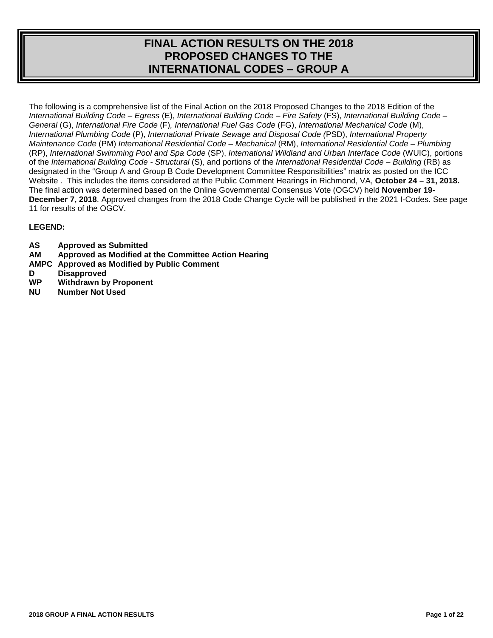# **FINAL ACTION RESULTS ON THE 2018 PROPOSED CHANGES TO THE INTERNATIONAL CODES – GROUP A**

The following is a comprehensive list of the Final Action on the 2018 Proposed Changes to the 2018 Edition of the *International Building Code – Egress* (E), *International Building Code – Fire Safety* (FS), *International Building Code – General* (G), *International Fire Code* (F)*, International Fuel Gas Code* (FG), *International Mechanical Code* (M), *International Plumbing Code* (P), *International Private Sewage and Disposal Code (*PSD), *International Property Maintenance Code* (PM) *International Residential Code – Mechanical* (RM), *International Residential Code – Plumbing* (RP), *International Swimming Pool and Spa Code* (SP), *International Wildland and Urban Interface Code* (WUIC), portions of the *International Building Code - Structural* (S), and portions of the *International Residential Code – Building* (RB) as designated in the "Group A and Group B Code Development Committee Responsibilities" matrix as posted on the ICC Website . This includes the items considered at the Public Comment Hearings in Richmond, VA, **October 24 – 31, 2018.**  The final action was determined based on the Online Governmental Consensus Vote (OGCV) held **November 19- December 7, 2018**. Approved changes from the 2018 Code Change Cycle will be published in the 2021 I-Codes. See page 11 for results of the OGCV.

# **LEGEND:**

- **AS Approved as Submitted**
- **AM Approved as Modified at the Committee Action Hearing**
- **AMPC Approved as Modified by Public Comment**
- **D Disapproved**<br> **WP** Withdrawn by
- **Withdrawn by Proponent**
- **NU Number Not Used**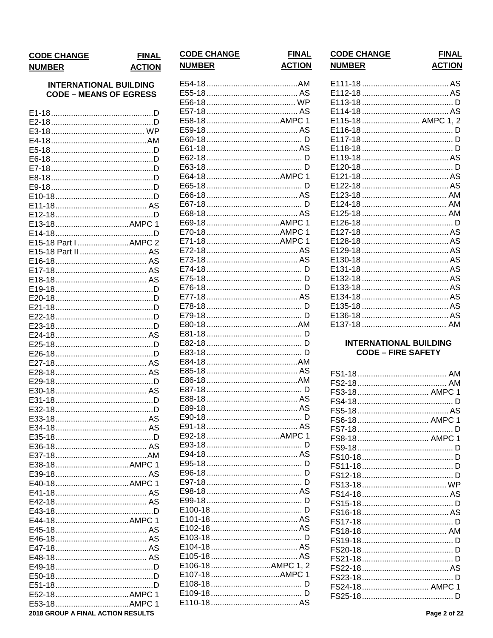#### **CODE CHANGE FINAL NUMBER ACTION**

# **INTERNATIONAL BUILDING CODE - MEANS OF EGRESS**

| E15-18 Part I AMPC 2                     |
|------------------------------------------|
| E15-18 Part II  AS                       |
|                                          |
|                                          |
|                                          |
|                                          |
|                                          |
|                                          |
|                                          |
|                                          |
|                                          |
|                                          |
|                                          |
|                                          |
|                                          |
|                                          |
|                                          |
|                                          |
|                                          |
|                                          |
|                                          |
|                                          |
|                                          |
|                                          |
|                                          |
|                                          |
| E40-18AMPC 1                             |
|                                          |
|                                          |
|                                          |
|                                          |
|                                          |
|                                          |
|                                          |
|                                          |
|                                          |
|                                          |
|                                          |
| E52-18AMPC 1                             |
|                                          |
| <b>2018 GROUP A FINAL ACTION RESULTS</b> |
|                                          |

|  | E64-18AMPC 1     |  |
|--|------------------|--|
|  |                  |  |
|  |                  |  |
|  |                  |  |
|  |                  |  |
|  | E69-18AMPC 1     |  |
|  |                  |  |
|  |                  |  |
|  |                  |  |
|  |                  |  |
|  |                  |  |
|  |                  |  |
|  |                  |  |
|  |                  |  |
|  |                  |  |
|  |                  |  |
|  |                  |  |
|  |                  |  |
|  |                  |  |
|  |                  |  |
|  |                  |  |
|  |                  |  |
|  |                  |  |
|  |                  |  |
|  |                  |  |
|  |                  |  |
|  |                  |  |
|  |                  |  |
|  | E92-18AMPC 1     |  |
|  |                  |  |
|  |                  |  |
|  |                  |  |
|  |                  |  |
|  |                  |  |
|  |                  |  |
|  |                  |  |
|  |                  |  |
|  |                  |  |
|  |                  |  |
|  |                  |  |
|  |                  |  |
|  |                  |  |
|  |                  |  |
|  | E106-18AMPC 1, 2 |  |
|  | E107-18AMPC 1    |  |
|  |                  |  |
|  |                  |  |
|  |                  |  |
|  |                  |  |

**CODE CHANGE** 

**NUMBER** 

**FINAL** 

**ACTION** 

**CODE CHANGE** 

| <b>NUMBER</b>      | <b>ACTION</b> |
|--------------------|---------------|
|                    |               |
|                    |               |
| E115-18  AMPC 1, 2 |               |
|                    |               |
|                    |               |
|                    |               |
|                    |               |
|                    |               |
|                    |               |
|                    |               |
|                    |               |
|                    |               |
|                    |               |
|                    |               |
|                    |               |
|                    |               |
|                    |               |
|                    |               |
|                    |               |
|                    |               |
|                    |               |
|                    |               |
|                    |               |
|                    |               |
|                    |               |

**FINAL** 

# **INTERNATIONAL BUILDING CODE - FIRE SAFETY**

| FS3-18 AMPC 1          |   |
|------------------------|---|
|                        |   |
|                        |   |
| FS6-18  AMPC 1         |   |
|                        | D |
| FS8-18 AMPC 1          |   |
|                        |   |
|                        | Ð |
|                        |   |
|                        |   |
| FS13-18……………………………… WP |   |
|                        |   |
|                        |   |
|                        |   |
|                        |   |
|                        |   |
|                        |   |
|                        | Ð |
|                        |   |
|                        |   |
|                        |   |
| FS24-18 AMPC 1         |   |
|                        |   |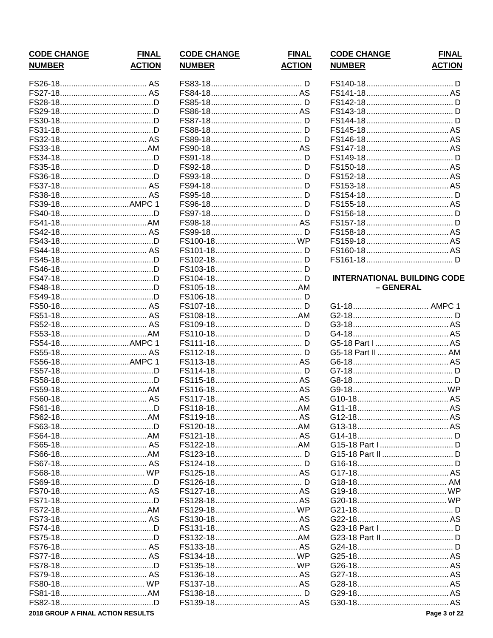| <b>CODE CHANGE</b> | <b>FINAL</b>  |
|--------------------|---------------|
| <b>NUMBER</b>      | <b>ACTION</b> |
|                    |               |
|                    |               |
|                    |               |
|                    |               |
|                    |               |
|                    |               |
|                    |               |
|                    |               |
|                    |               |
|                    |               |
|                    |               |
|                    |               |
|                    |               |
| FS39-18AMPC 1      |               |
|                    |               |
|                    |               |
|                    |               |
|                    |               |
|                    |               |
|                    |               |
|                    |               |
|                    |               |
|                    |               |
|                    |               |
|                    |               |
|                    |               |
|                    |               |
| FS54-18AMPC 1      |               |
|                    |               |
| FS56-18AMPC 1      |               |
|                    |               |
|                    |               |
|                    |               |
|                    |               |
|                    |               |
|                    |               |
|                    |               |
|                    |               |
|                    |               |
|                    |               |
|                    |               |
|                    |               |
|                    |               |
|                    |               |
|                    |               |
|                    |               |
|                    |               |
|                    |               |
|                    |               |
|                    |               |
|                    |               |
|                    |               |
|                    |               |
|                    |               |

2018 GROUP A FINAL ACTION RESULTS

| <b>CODE CHANGE</b> |  |
|--------------------|--|
| <b>NUMBER</b>      |  |

**FINAL ACTION** 

| <b>CODE CHANGE</b> | <b>FINAL</b>  |
|--------------------|---------------|
| <b>NUMBER</b>      | <b>ACTION</b> |

# **INTERNATIONAL BUILDING CODE** – GENERAL

| G1-18 AMPC 1      |  |
|-------------------|--|
|                   |  |
|                   |  |
|                   |  |
|                   |  |
| G5-18 Part II  AM |  |
|                   |  |
|                   |  |
|                   |  |
|                   |  |
|                   |  |
|                   |  |
|                   |  |
|                   |  |
|                   |  |
|                   |  |
|                   |  |
|                   |  |
|                   |  |
|                   |  |
|                   |  |
|                   |  |
|                   |  |
|                   |  |
|                   |  |
|                   |  |
|                   |  |
|                   |  |
|                   |  |
|                   |  |
|                   |  |
|                   |  |
|                   |  |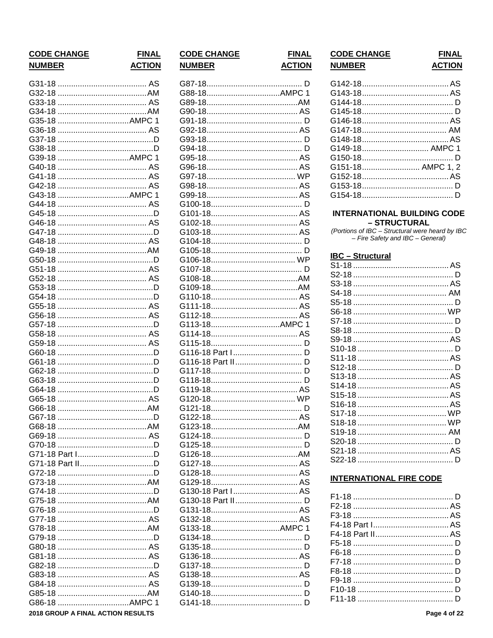| <b>CODE CHANGE</b> | <b>FINAL</b>  |
|--------------------|---------------|
| <b>NUMBER</b>      | <b>ACTION</b> |
|                    |               |
|                    |               |
| G33-18             |               |
|                    |               |
| G35-18 AMPC        |               |
|                    |               |
| G37-18             |               |
| G38-18             |               |
|                    | -1            |
| G40-18             |               |
|                    |               |
|                    |               |
| G43-18 AMPC 1      |               |
|                    |               |
|                    |               |
|                    |               |
|                    |               |
|                    |               |
| G49-18             |               |
| G50-18             |               |
| G51-18             |               |
| G52-18             |               |
| G53-18             |               |
| G54-18             |               |
| G55-18             |               |
| G56-18             |               |
| G57-18             |               |
| G58-18             |               |
| G59-18             |               |
| G60-18             |               |
| G61-18             |               |
| G62-18             |               |
| G63-18             |               |
| G64-18             |               |
| G65-18             |               |
| G66-18<br>AM ARA   |               |
|                    |               |
|                    |               |
|                    |               |
|                    |               |
|                    |               |
|                    |               |
|                    |               |
|                    |               |
|                    |               |
|                    |               |
|                    |               |
|                    |               |
|                    |               |
|                    |               |
|                    |               |
|                    |               |
|                    |               |
|                    |               |
|                    |               |
| G86-18 AMPC 1      |               |

2018 GROUP A FINAL ACTION RESULTS

# **CODE CHANGE NUMBER**

**FINAL ACTION**  $\overline{D}$ 

| G113-18AMPC 1     |  |
|-------------------|--|
|                   |  |
|                   |  |
|                   |  |
|                   |  |
|                   |  |
|                   |  |
|                   |  |
|                   |  |
|                   |  |
|                   |  |
|                   |  |
|                   |  |
|                   |  |
|                   |  |
|                   |  |
|                   |  |
|                   |  |
|                   |  |
|                   |  |
|                   |  |
|                   |  |
|                   |  |
|                   |  |
|                   |  |
| G130-18 Part I AS |  |
|                   |  |
| G130-18 Part II D |  |
|                   |  |
|                   |  |
| G133-18AMPC 1     |  |
|                   |  |
|                   |  |
|                   |  |
|                   |  |
|                   |  |
|                   |  |
|                   |  |
|                   |  |
|                   |  |
|                   |  |

| <b>CODE CHANGE</b> | <b>FINAL</b>  |
|--------------------|---------------|
| <b>NUMBER</b>      | <b>ACTION</b> |

| G149-18 AMPC 1    |  |
|-------------------|--|
|                   |  |
| G151-18 AMPC 1, 2 |  |
|                   |  |
|                   |  |
|                   |  |

#### **INTERNATIONAL BUILDING CODE** - STRUCTURAL

(Portions of IBC - Structural were heard by IBC - Fire Safety and IBC - General)

# **IBC** - Structural

# **INTERNATIONAL FIRE CODE**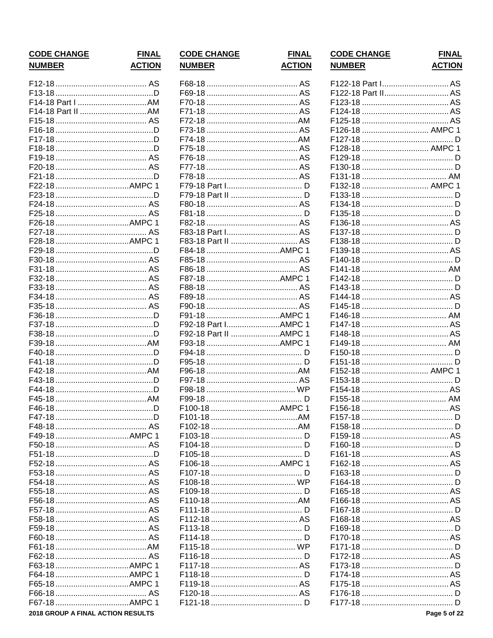| <b>CODE CHANGE</b><br><b>NUMBER</b> | <b>FINAL</b><br><b>ACTION</b> |
|-------------------------------------|-------------------------------|
|                                     |                               |
|                                     |                               |
| F14-18 Part I AM                    |                               |
|                                     |                               |
|                                     |                               |
|                                     |                               |
|                                     |                               |
|                                     |                               |
|                                     |                               |
|                                     |                               |
|                                     |                               |
|                                     |                               |
|                                     |                               |
|                                     |                               |
|                                     |                               |
| F26-18 AMPC 1                       |                               |
|                                     |                               |
|                                     |                               |
|                                     |                               |
|                                     |                               |
|                                     |                               |
|                                     |                               |
|                                     |                               |
|                                     |                               |
|                                     |                               |
|                                     |                               |
|                                     |                               |
|                                     |                               |
|                                     |                               |
|                                     |                               |
|                                     |                               |
|                                     |                               |
|                                     |                               |
|                                     |                               |
| F46-18                              |                               |
|                                     |                               |
|                                     |                               |
| F49-18AMPC 1                        |                               |
|                                     |                               |
|                                     |                               |
|                                     |                               |
|                                     |                               |
|                                     |                               |
|                                     |                               |
|                                     |                               |
|                                     |                               |
|                                     |                               |
|                                     |                               |
|                                     |                               |
|                                     |                               |
|                                     |                               |
|                                     |                               |
|                                     | -1                            |
|                                     |                               |
| F67-18AMPC 1                        |                               |
| 2018 GROUP A FINAL ACTION RESULTS   |                               |
|                                     |                               |

| ۱L<br><u>N</u>   | <b>CODE CHANGE</b><br><b>NUMBER</b> | <b>FINAL</b><br><b>ACTION</b> |
|------------------|-------------------------------------|-------------------------------|
| S                |                                     |                               |
| D                |                                     |                               |
| N.               |                                     |                               |
| N                |                                     |                               |
| S<br>D           |                                     |                               |
| D                |                                     |                               |
| D                |                                     |                               |
| S                |                                     |                               |
| S                |                                     |                               |
| D                |                                     |                               |
| $\mathbf{1}$     |                                     |                               |
| D                |                                     |                               |
| S                |                                     |                               |
| S                |                                     |                               |
| $\mathbf{1}$     |                                     |                               |
| S                | F83-18 Part I AS                    |                               |
| $\mathbf{1}$     | F83-18 Part II  AS                  |                               |
| D                |                                     |                               |
| S                |                                     |                               |
| S<br>S           |                                     |                               |
|                  |                                     |                               |
| S<br>S<br>S      |                                     |                               |
|                  |                                     |                               |
| D                |                                     |                               |
| D                | F92-18 Part IAMPC                   |                               |
| D                | F92-18 Part II AMPC                 | -1                            |
| N                |                                     |                               |
| D                |                                     |                               |
| D                |                                     |                               |
| Ν                |                                     |                               |
| D                |                                     |                               |
| D                |                                     |                               |
| VI               | F100-18 AMPC 1                      |                               |
| D<br>D<br>S<br>1 |                                     |                               |
|                  |                                     |                               |
|                  |                                     |                               |
|                  |                                     |                               |
| SNSSSSSSSSSSS    |                                     |                               |
|                  | F106-18 AMPC 1                      |                               |
|                  |                                     |                               |
|                  |                                     |                               |
|                  |                                     |                               |
|                  |                                     |                               |
|                  |                                     |                               |
|                  |                                     |                               |
|                  |                                     |                               |
|                  |                                     |                               |
| S                |                                     |                               |
| $\overline{1}$   |                                     |                               |
| 1                |                                     |                               |
| 1                |                                     |                               |
| S                |                                     |                               |
| 1                |                                     |                               |
|                  |                                     |                               |

| <b>NUMBER</b>      | <b>ACTION</b> |
|--------------------|---------------|
| F122-18 Part I AS  |               |
| F122-18 Part II AS |               |
|                    |               |
|                    |               |
|                    |               |
| F126-18  AMPC 1    |               |
|                    |               |
| F128-18  AMPC 1    |               |
|                    |               |
|                    |               |
|                    |               |
| F132-18  AMPC 1    |               |
|                    |               |
|                    |               |
|                    |               |
|                    |               |
|                    |               |
|                    |               |
|                    |               |
|                    |               |
|                    |               |
|                    |               |
|                    |               |
|                    |               |
|                    |               |
|                    |               |
|                    |               |
|                    |               |
|                    |               |
|                    |               |
| F152-18  AMPC 1    |               |
|                    |               |
|                    |               |
|                    |               |
|                    |               |
|                    |               |
|                    |               |
|                    |               |
|                    |               |
|                    |               |
|                    |               |
|                    |               |
|                    |               |
|                    |               |
|                    |               |
|                    |               |
|                    |               |
|                    |               |
|                    |               |
|                    |               |
|                    |               |
|                    |               |
|                    |               |
|                    |               |
|                    |               |
|                    | Page 5 of 22  |
|                    |               |

**CODE CHANGE** 

**FINAL**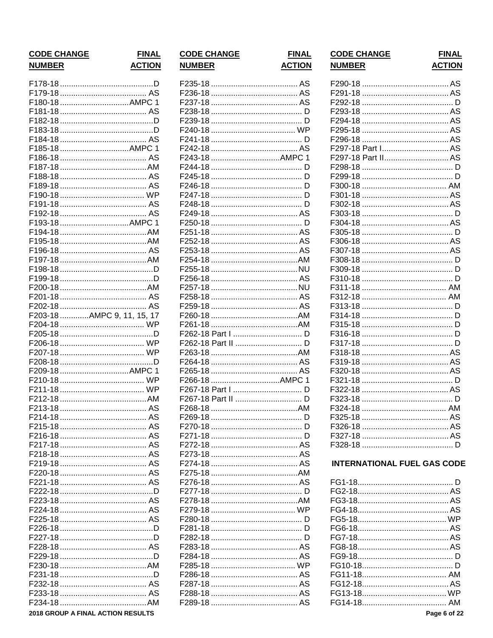| <b>CODE CHANGE</b>                | <b>FINAL</b>  |
|-----------------------------------|---------------|
| <b>NUMBER</b>                     | <b>ACTION</b> |
|                                   |               |
|                                   |               |
| F180-18AMPC 1                     |               |
|                                   |               |
|                                   |               |
|                                   |               |
|                                   |               |
| F185-18AMPC 1                     |               |
|                                   |               |
|                                   |               |
|                                   |               |
|                                   |               |
|                                   |               |
|                                   |               |
|                                   |               |
| F193-18AMPC 1                     |               |
|                                   |               |
|                                   |               |
|                                   |               |
|                                   |               |
|                                   |               |
|                                   |               |
|                                   |               |
|                                   |               |
|                                   |               |
| F203-18 AMPC 9, 11, 15, 17        |               |
|                                   |               |
|                                   |               |
|                                   |               |
|                                   |               |
|                                   |               |
| F209-18AMPC 1                     |               |
|                                   |               |
|                                   |               |
|                                   |               |
|                                   |               |
|                                   |               |
|                                   |               |
|                                   |               |
|                                   |               |
|                                   |               |
|                                   |               |
|                                   |               |
|                                   |               |
|                                   |               |
|                                   |               |
|                                   |               |
|                                   |               |
|                                   |               |
|                                   |               |
|                                   |               |
|                                   |               |
|                                   |               |
|                                   |               |
|                                   |               |
|                                   |               |
|                                   |               |
|                                   |               |
| 2018 GROUP A FINAL ACTION RESULTS |               |

| <b>CODE CHANGE</b> | <b>FINAL</b>  |
|--------------------|---------------|
| <b>NUMBER</b>      | <b>ACTION</b> |
|                    |               |
|                    |               |
|                    |               |
|                    |               |
|                    |               |
|                    |               |
|                    |               |
|                    |               |
|                    |               |
| F243-18 AMPC 1     |               |
|                    |               |
|                    |               |
|                    |               |
|                    |               |
|                    |               |
|                    |               |
|                    |               |
|                    |               |
|                    |               |
|                    |               |
|                    |               |
|                    |               |
|                    |               |
|                    |               |
|                    |               |
|                    |               |
|                    |               |
|                    |               |
|                    |               |
|                    |               |
| F262-18 Part II  D |               |
|                    |               |
|                    |               |
|                    |               |
| F266-18 AMPC 1     |               |
| F267-18 Part I  D  |               |
|                    |               |
|                    |               |
|                    |               |
|                    |               |
|                    |               |
|                    |               |
|                    |               |
|                    |               |
|                    |               |
|                    |               |
|                    |               |
|                    |               |
|                    |               |
|                    |               |
|                    |               |
|                    |               |
|                    |               |
|                    |               |
|                    |               |
|                    |               |
|                    |               |
|                    |               |
|                    |               |
|                    |               |

| <b>NUMBER</b> | ACTION             |
|---------------|--------------------|
|               |                    |
|               |                    |
|               |                    |
|               |                    |
|               |                    |
| F295-18       |                    |
| F296-18       |                    |
|               | F297-18 Part I AS  |
|               | F297-18 Part II AS |
|               |                    |
|               |                    |
|               |                    |
| F301-18       |                    |
|               |                    |
| F303-18       |                    |
|               |                    |
| 305-18        |                    |
|               |                    |
| F307-18       |                    |
|               |                    |
|               |                    |
| F310-18       |                    |
|               |                    |
|               |                    |
|               |                    |
| F314-18       |                    |
|               |                    |
| F316-18       |                    |
| F317-18       |                    |
| F318-18       |                    |
| F319-18       |                    |
| F320-18       |                    |
|               |                    |
| 322-18        |                    |
| 323-18        |                    |
| F324-18       |                    |
|               |                    |
| F326-18       |                    |
| F327-18       |                    |
|               | D                  |

**CODE CHANGE** 

**FINAL** 

# **INTERNATIONAL FUEL GAS CODE**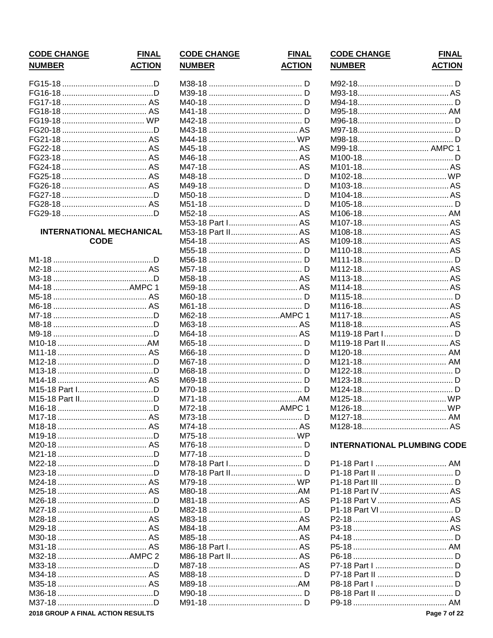| <b>CODE CHANGE</b> |  |
|--------------------|--|
| NUMRFR             |  |

# **INTERNATIONAL MECHANICAL CODE**

| M4-18 AMPC 1                      |  |
|-----------------------------------|--|
|                                   |  |
|                                   |  |
|                                   |  |
|                                   |  |
|                                   |  |
|                                   |  |
|                                   |  |
|                                   |  |
|                                   |  |
|                                   |  |
| M15-18 Part ID                    |  |
|                                   |  |
|                                   |  |
|                                   |  |
|                                   |  |
|                                   |  |
|                                   |  |
|                                   |  |
|                                   |  |
|                                   |  |
|                                   |  |
|                                   |  |
|                                   |  |
|                                   |  |
|                                   |  |
|                                   |  |
|                                   |  |
|                                   |  |
| M32-18 AMPC 2                     |  |
|                                   |  |
|                                   |  |
|                                   |  |
|                                   |  |
|                                   |  |
| 2018 GROUP A FINAL ACTION RESULTS |  |

# **CODE CHANGE ACTION NUMBER**

**FINAL** 

**FINAL ACTION** 

| M38-18 |                   |    |
|--------|-------------------|----|
|        |                   |    |
| M40-18 |                   |    |
| M41-18 |                   |    |
|        |                   |    |
|        |                   |    |
| M44-18 |                   |    |
| M45-18 |                   |    |
| M46-18 |                   |    |
| M47-18 |                   |    |
| M48-18 |                   |    |
| M49-18 |                   |    |
| M50-18 |                   |    |
| M51-18 |                   |    |
| M52-18 |                   |    |
|        | M53-18 Part I AS  |    |
|        |                   |    |
| M54-18 |                   |    |
|        |                   |    |
|        |                   |    |
| M56-18 |                   |    |
| M57-18 |                   |    |
| M58-18 |                   |    |
| M59-18 |                   |    |
| M60-18 |                   |    |
| M61-18 |                   |    |
| M62-18 |                   | 1  |
| M63-18 |                   |    |
|        |                   |    |
|        |                   |    |
|        |                   |    |
| M67-18 |                   |    |
| M68-18 |                   |    |
| 169-18 |                   |    |
| 170-1  |                   |    |
| M71-18 |                   |    |
| M72-18 |                   | -1 |
| M73-18 |                   |    |
| M74-18 |                   |    |
| M75-18 |                   |    |
|        |                   | D  |
|        |                   |    |
|        |                   |    |
|        |                   |    |
|        |                   |    |
|        |                   |    |
|        |                   |    |
|        |                   |    |
|        |                   |    |
|        |                   |    |
|        |                   |    |
|        | M86-18 Part I AS  |    |
|        |                   |    |
|        | M86-18 Part II AS |    |
|        |                   |    |
|        |                   |    |
|        |                   |    |
|        |                   |    |
|        |                   |    |
|        |                   |    |

| <b>CODE CHANGE</b> | <b>FINAL</b>  |
|--------------------|---------------|
| <b>NUMBER</b>      | <b>ACTION</b> |

| M99-18 AMPC 1      |  |
|--------------------|--|
|                    |  |
|                    |  |
|                    |  |
|                    |  |
|                    |  |
|                    |  |
|                    |  |
|                    |  |
|                    |  |
|                    |  |
|                    |  |
|                    |  |
|                    |  |
|                    |  |
|                    |  |
|                    |  |
|                    |  |
|                    |  |
|                    |  |
|                    |  |
| M119-18 Part II AS |  |
|                    |  |
|                    |  |
|                    |  |
|                    |  |
|                    |  |
|                    |  |
|                    |  |
|                    |  |
|                    |  |

# **INTERNATIONAL PLUMBING CODE**

| P1-18 Part I  AM  |  |
|-------------------|--|
|                   |  |
|                   |  |
| P1-18 Part IV  AS |  |
|                   |  |
|                   |  |
|                   |  |
|                   |  |
|                   |  |
|                   |  |
|                   |  |
|                   |  |
|                   |  |
|                   |  |
|                   |  |
|                   |  |
|                   |  |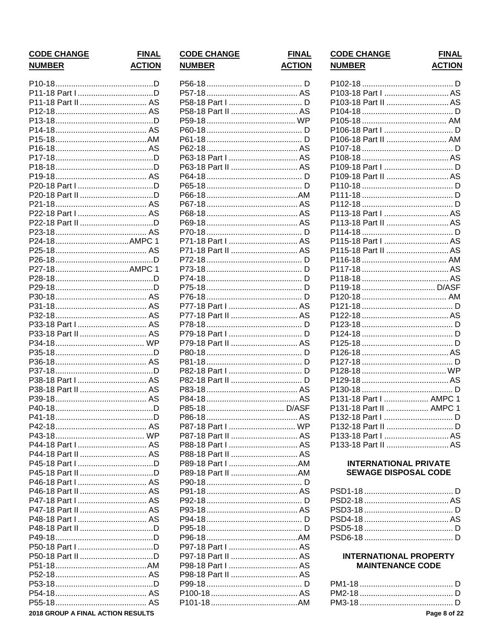| <b>FINAL</b>  |
|---------------|
| <b>ACTION</b> |
|               |

| P11-18 Part I D                   |  |
|-----------------------------------|--|
| P11-18 Part II  AS                |  |
|                                   |  |
|                                   |  |
|                                   |  |
|                                   |  |
|                                   |  |
|                                   |  |
|                                   |  |
|                                   |  |
|                                   |  |
|                                   |  |
|                                   |  |
|                                   |  |
| P22-18 Part I  AS                 |  |
|                                   |  |
|                                   |  |
| P24-18AMPC 1                      |  |
|                                   |  |
|                                   |  |
| P27-18AMPC 1                      |  |
|                                   |  |
|                                   |  |
|                                   |  |
|                                   |  |
|                                   |  |
|                                   |  |
| P33-18 Part I  AS                 |  |
| P33-18 Part II  AS                |  |
|                                   |  |
|                                   |  |
|                                   |  |
|                                   |  |
| P38-18 Part I  AS                 |  |
| P38-18 Part II  AS                |  |
|                                   |  |
|                                   |  |
|                                   |  |
|                                   |  |
|                                   |  |
| P44-18 Part I  AS                 |  |
| P44-18 Part II  AS                |  |
|                                   |  |
|                                   |  |
| P46-18 Part I  AS                 |  |
|                                   |  |
| P46-18 Part II  AS                |  |
| P47-18 Part I  AS                 |  |
| P47-18 Part II  AS                |  |
|                                   |  |
|                                   |  |
|                                   |  |
|                                   |  |
|                                   |  |
|                                   |  |
|                                   |  |
|                                   |  |
|                                   |  |
|                                   |  |
| 2018 GROUP A FINAL ACTION RESULTS |  |

|  |               | <b>CODE CHANGE</b> |  |
|--|---------------|--------------------|--|
|  | <b>NUMBER</b> |                    |  |

P77-18 Part II ................................. AS P87-18 Part I ................................ WP P88-18 Part I AS 

P97-18 Part II ................................. AS

**FINAL ACTION** 

# **CODE CHANGE NUMBER**

# **FINAL ACTION**

| P103-18 Part I  AS          |  |
|-----------------------------|--|
| P103-18 Part II AS          |  |
|                             |  |
|                             |  |
|                             |  |
| P106-18 Part II  AM         |  |
|                             |  |
|                             |  |
|                             |  |
| P109-18 Part II AS          |  |
|                             |  |
|                             |  |
|                             |  |
|                             |  |
| P113-18 Part II AS          |  |
|                             |  |
|                             |  |
| P115-18 Part II AS          |  |
|                             |  |
|                             |  |
|                             |  |
| P119-18  D/ASF              |  |
|                             |  |
|                             |  |
|                             |  |
|                             |  |
|                             |  |
|                             |  |
|                             |  |
|                             |  |
|                             |  |
|                             |  |
|                             |  |
| P131-18 Part I  AMPC 1      |  |
| P131-18 Part II  AMPC 1     |  |
|                             |  |
|                             |  |
|                             |  |
| P133-18 Part II          AS |  |

# **INTERNATIONAL PRIVATE SEWAGE DISPOSAL CODE**

# **INTERNATIONAL PROPERTY MAINTENANCE CODE**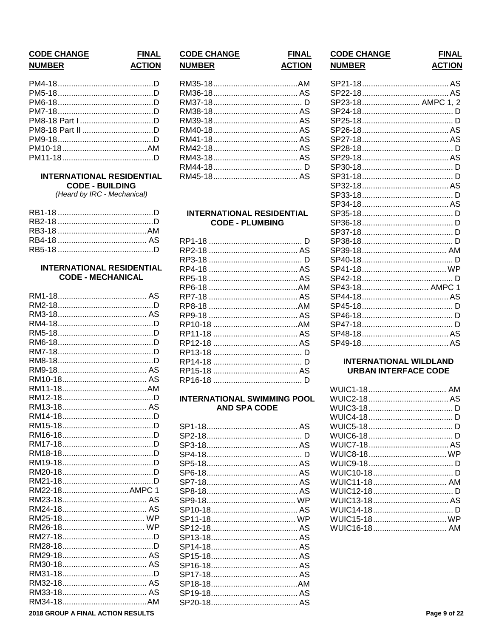# **CODE CHANGE NUMBER**

#### **INTERNATIONAL RESIDENTIAL CODE - BUILDING**

(Heard by IRC - Mechanical)

# **INTERNATIONAL RESIDENTIAL CODE - MECHANICAL**

| RM22-18AMPC 1 |  |
|---------------|--|
|               |  |
|               |  |
|               |  |
|               |  |
|               |  |
|               |  |
|               |  |
|               |  |
|               |  |
|               |  |
|               |  |
|               |  |
|               |  |

# **CODE CHANGE**

**FINAL** 

**ACTION** 

**NUMBER** 

**FINAL** 

**ACTION** 

### **INTERNATIONAL RESIDENTIAL CODE - PLUMBING**

# **INTERNATIONAL SWIMMING POOL AND SPA CODE**

| <b>CODE CHANGE</b> | <b>FINAL</b>  |
|--------------------|---------------|
| <b>NUMBER</b>      | <b>ACTION</b> |

| SP23-18 AMPC 1, 2      |  |
|------------------------|--|
|                        |  |
|                        |  |
|                        |  |
|                        |  |
|                        |  |
|                        |  |
|                        |  |
|                        |  |
|                        |  |
|                        |  |
|                        |  |
|                        |  |
|                        |  |
|                        |  |
|                        |  |
|                        |  |
|                        |  |
| SP41-18……………………………… WP |  |
|                        |  |
| SP43-18 AMPC 1         |  |
|                        |  |
|                        |  |
|                        |  |
|                        |  |
|                        |  |
| SP49-18…………………………………AS |  |

# **INTERNATIONAL WILDLAND URBAN INTERFACE CODE**

| WUIC15-18 WP |  |
|--------------|--|
|              |  |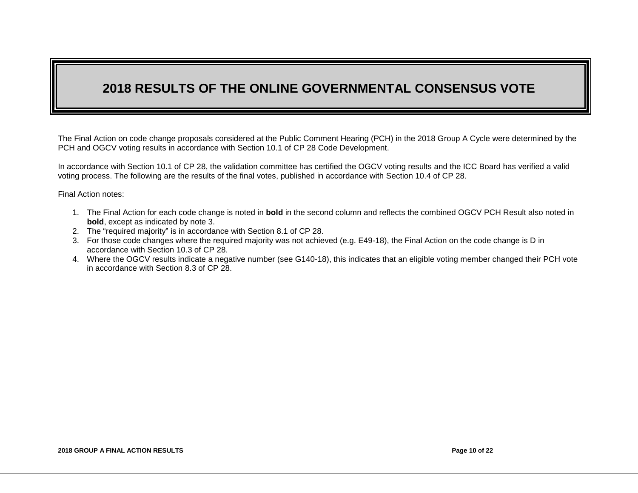# **2018 RESULTS OF THE ONLINE GOVERNMENTAL CONSENSUS VOTE**

The Final Action on code change proposals considered at the Public Comment Hearing (PCH) in the 2018 Group A Cycle were determined by the PCH and OGCV voting results in accordance with Section 10.1 of CP 28 Code Development.

In accordance with Section 10.1 of CP 28, the validation committee has certified the OGCV voting results and the ICC Board has verified a valid voting process. The following are the results of the final votes, published in accordance with Section 10.4 of CP 28.

Final Action notes:

- 1. The Final Action for each code change is noted in **bold** in the second column and reflects the combined OGCV PCH Result also noted in **bold**, except as indicated by note 3.
- 2. The "required majority" is in accordance with Section 8.1 of CP 28.
- 3. For those code changes where the required majority was not achieved (e.g. E49-18), the Final Action on the code change is D in accordance with Section 10.3 of CP 28.
- 4. Where the OGCV results indicate a negative number (see G140-18), this indicates that an eligible voting member changed their PCH vote in accordance with Section 8.3 of CP 28.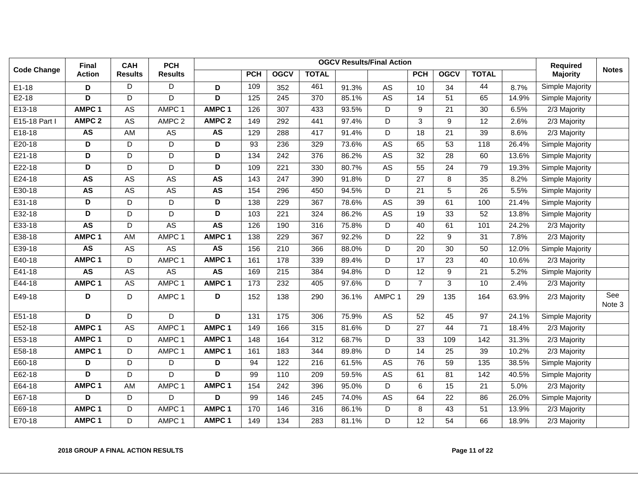|                    | Final                   | <b>CAH</b>     | <b>PCH</b>        |                         |                  | <b>Required</b>  | <b>Notes</b> |       |                      |                 |                 |                 |       |                 |               |
|--------------------|-------------------------|----------------|-------------------|-------------------------|------------------|------------------|--------------|-------|----------------------|-----------------|-----------------|-----------------|-------|-----------------|---------------|
| <b>Code Change</b> | <b>Action</b>           | <b>Results</b> | <b>Results</b>    |                         | <b>PCH</b>       | <b>OGCV</b>      | <b>TOTAL</b> |       |                      | <b>PCH</b>      | <b>OGCV</b>     | <b>TOTAL</b>    |       | <b>Majority</b> |               |
| $E1-18$            | D                       | D              | D                 | D                       | 109              | 352              | 461          | 91.3% | AS                   | 10              | 34              | 44              | 8.7%  | Simple Majority |               |
| $E2-18$            | D                       | D              | D                 | D                       | $\frac{1}{25}$   | $\overline{245}$ | 370          | 85.1% | <b>AS</b>            | 14              | $\overline{51}$ | 65              | 14.9% | Simple Majority |               |
| $E13-18$           | AMPC <sub>1</sub>       | <b>AS</b>      | AMPC 1            | AMPC <sub>1</sub>       | 126              | 307              | 433          | 93.5% | D                    | 9               | $\overline{21}$ | $\overline{30}$ | 6.5%  | $2/3$ Majority  |               |
| E15-18 Part I      | AMPC <sub>2</sub>       | <b>AS</b>      | AMPC <sub>2</sub> | AMPC <sub>2</sub>       | 149              | 292              | 441          | 97.4% | D                    | 3               | 9               | $\overline{12}$ | 2.6%  | 2/3 Majority    |               |
| $E18-18$           | <b>AS</b>               | <b>AM</b>      | A <sub>S</sub>    | <b>AS</b>               | 129              | 288              | 417          | 91.4% | D                    | $\overline{18}$ | $\overline{21}$ | 39              | 8.6%  | $2/3$ Majority  |               |
| E20-18             | $\overline{\mathsf{D}}$ | D              | D                 | $\overline{\mathsf{D}}$ | 93               | 236              | 329          | 73.6% | <b>AS</b>            | 65              | $\overline{53}$ | 118             | 26.4% | Simple Majority |               |
| $E21-18$           | D                       | D              | D                 | D                       | 134              | 242              | 376          | 86.2% | A <sub>S</sub>       | 32              | 28              | 60              | 13.6% | Simple Majority |               |
| E22-18             | D                       | D              | D                 | D                       | 109              | 221              | 330          | 80.7% | AS                   | 55              | 24              | 79              | 19.3% | Simple Majority |               |
| $E24-18$           | <b>AS</b>               | <b>AS</b>      | <b>AS</b>         | <b>AS</b>               | $\overline{143}$ | 247              | 390          | 91.8% | D                    | $\overline{27}$ | 8               | $\overline{35}$ | 8.2%  | Simple Majority |               |
| E30-18             | <b>AS</b>               | <b>AS</b>      | <b>AS</b>         | <b>AS</b>               | 154              | 296              | 450          | 94.5% | D                    | 21              | 5               | 26              | 5.5%  | Simple Majority |               |
| E31-18             | D                       | D              | D                 | D                       | 138              | 229              | 367          | 78.6% | AS                   | 39              | 61              | 100             | 21.4% | Simple Majority |               |
| E32-18             | D                       | D              | $\overline{D}$    | $\overline{D}$          | 103              | 221              | 324          | 86.2% | <b>AS</b>            | 19              | 33              | 52              | 13.8% | Simple Majority |               |
| E33-18             | <b>AS</b>               | D              | <b>AS</b>         | <b>AS</b>               | 126              | 190              | 316          | 75.8% | D                    | 40              | 61              | 101             | 24.2% | 2/3 Majority    |               |
| E38-18             | AMPC <sub>1</sub>       | <b>AM</b>      | AMPC 1            | AMPC <sub>1</sub>       | 138              | 229              | 367          | 92.2% | D                    | $\overline{22}$ | 9               | 31              | 7.8%  | $2/3$ Majority  |               |
| E39-18             | <b>AS</b>               | <b>AS</b>      | <b>AS</b>         | <b>AS</b>               | 156              | 210              | 366          | 88.0% | $\overline{D}$       | 20              | 30              | 50              | 12.0% | Simple Majority |               |
| E40-18             | AMPC <sub>1</sub>       | D              | AMPC 1            | AMPC <sub>1</sub>       | 161              | 178              | 339          | 89.4% | D                    | 17              | 23              | 40              | 10.6% | 2/3 Majority    |               |
| $E41-18$           | <b>AS</b>               | <b>AS</b>      | <b>AS</b>         | <b>AS</b>               | 169              | $\overline{215}$ | 384          | 94.8% | D                    | $\overline{12}$ | 9               | $\overline{21}$ | 5.2%  | Simple Majority |               |
| E44-18             | AMPC <sub>1</sub>       | <b>AS</b>      | AMPC 1            | AMPC <sub>1</sub>       | 173              | $\overline{232}$ | 405          | 97.6% | D                    | $\overline{7}$  | 3               | 10              | 2.4%  | 2/3 Majority    |               |
| E49-18             | D                       | D              | AMPC 1            | D                       | 152              | 138              | 290          | 36.1% | AMPC <sub>1</sub>    | 29              | 135             | 164             | 63.9% | 2/3 Majority    | See<br>Note 3 |
| E51-18             | D                       | D              | D                 | D                       | 131              | 175              | 306          | 75.9% | $\mathsf{AS}\xspace$ | 52              | 45              | 97              | 24.1% | Simple Majority |               |
| $E52-18$           | AMPC <sub>1</sub>       | <b>AS</b>      | AMPC 1            | AMPC <sub>1</sub>       | 149              | 166              | 315          | 81.6% | D                    | $\overline{27}$ | 44              | 71              | 18.4% | 2/3 Majority    |               |
| E53-18             | AMPC <sub>1</sub>       | D              | AMPC <sub>1</sub> | AMPC <sub>1</sub>       | 148              | 164              | 312          | 68.7% | D                    | 33              | 109             | 142             | 31.3% | 2/3 Majority    |               |
| E58-18             | AMPC <sub>1</sub>       | D              | AMPC 1            | AMPC <sub>1</sub>       | 161              | 183              | 344          | 89.8% | D                    | 14              | 25              | 39              | 10.2% | $2/3$ Majority  |               |
| E60-18             | D                       | D              | D                 | D                       | 94               | 122              | 216          | 61.5% | <b>AS</b>            | 76              | 59              | 135             | 38.5% | Simple Majority |               |
| E62-18             | D                       | $\mathsf D$    | $\overline{D}$    | $\overline{\mathsf{D}}$ | 99               | 110              | 209          | 59.5% | <b>AS</b>            | 61              | 81              | 142             | 40.5% | Simple Majority |               |
| E64-18             | AMPC <sub>1</sub>       | <b>AM</b>      | AMPC 1            | AMPC <sub>1</sub>       | 154              | 242              | 396          | 95.0% | D                    | 6               | 15              | 21              | 5.0%  | 2/3 Majority    |               |
| E67-18             | $\overline{\mathsf{D}}$ | D              | D                 | $\overline{\mathsf{D}}$ | 99               | 146              | 245          | 74.0% | <b>AS</b>            | 64              | 22              | 86              | 26.0% | Simple Majority |               |
| E69-18             | AMPC <sub>1</sub>       | $\mathsf D$    | AMPC 1            | AMPC <sub>1</sub>       | 170              | 146              | 316          | 86.1% | D                    | 8               | 43              | 51              | 13.9% | 2/3 Majority    |               |
| E70-18             | AMPC 1                  | D              | AMPC 1            | AMPC <sub>1</sub>       | 149              | 134              | 283          | 81.1% | D                    | $\overline{12}$ | 54              | 66              | 18.9% | $2/3$ Majority  |               |

#### **2018 GROUP A FINAL ACTION RESULTS Page 11 of 22**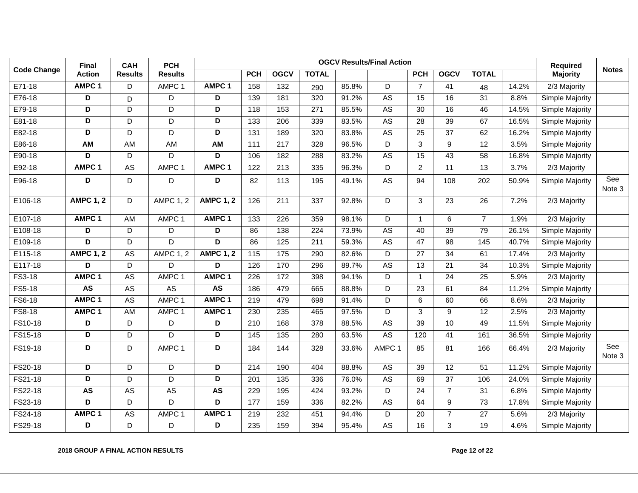|                    | Final                   | <b>CAH</b>     | <b>PCH</b>        |                         | <b>Required</b>   | <b>Notes</b>     |                  |       |                |                 |                 |                   |       |                        |               |
|--------------------|-------------------------|----------------|-------------------|-------------------------|-------------------|------------------|------------------|-------|----------------|-----------------|-----------------|-------------------|-------|------------------------|---------------|
| <b>Code Change</b> | <b>Action</b>           | <b>Results</b> | <b>Results</b>    |                         | <b>PCH</b>        | <b>OGCV</b>      | <b>TOTAL</b>     |       |                | <b>PCH</b>      | <b>OGCV</b>     | <b>TOTAL</b>      |       | <b>Majority</b>        |               |
| E71-18             | AMPC <sub>1</sub>       | D              | AMPC 1            | AMPC <sub>1</sub>       | 158               | 132              | 290              | 85.8% | D              | $\overline{7}$  | 41              | 48                | 14.2% | 2/3 Majority           |               |
| E76-18             | D                       | D              | D                 | $\overline{\mathsf{D}}$ | 139               | 181              | 320              | 91.2% | <b>AS</b>      | 15              | 16              | 31                | 8.8%  | Simple Majority        |               |
| E79-18             | D                       | D              | D                 | D                       | 118               | 153              | 271              | 85.5% | ${\sf AS}$     | 30              | 16              | 46                | 14.5% | Simple Majority        |               |
| E81-18             | D                       | D              | D                 | D                       | 133               | $\overline{206}$ | 339              | 83.5% | <b>AS</b>      | $\overline{28}$ | $\overline{39}$ | 67                | 16.5% | Simple Majority        |               |
| E82-18             | D                       | D              | D                 | D                       | 131               | 189              | 320              | 83.8% | <b>AS</b>      | $\overline{25}$ | $\overline{37}$ | 62                | 16.2% | Simple Majority        |               |
| E86-18             | <b>AM</b>               | AM             | <b>AM</b>         | <b>AM</b>               | 111               | $\overline{217}$ | 328              | 96.5% | D              | 3               | 9               | 12                | 3.5%  | Simple Majority        |               |
| E90-18             | $\overline{\mathsf{D}}$ | D              | D                 | $\overline{\mathsf{D}}$ | 106               | 182              | 288              | 83.2% | <b>AS</b>      | 15              | $\overline{43}$ | 58                | 16.8% | Simple Majority        |               |
| E92-18             | AMPC <sub>1</sub>       | AS             | AMPC <sub>1</sub> | AMPC <sub>1</sub>       | 122               | 213              | 335              | 96.3% | D              | $\overline{c}$  | 11              | 13                | 3.7%  | 2/3 Majority           |               |
| E96-18             | D                       | D              | D                 | D                       | 82                | 113              | 195              | 49.1% | AS             | 94              | 108             | 202               | 50.9% | Simple Majority        | See<br>Note 3 |
| E106-18            | <b>AMPC 1, 2</b>        | D              | <b>AMPC 1, 2</b>  | <b>AMPC 1, 2</b>        | 126               | 211              | 337              | 92.8% | D              | 3               | 23              | 26                | 7.2%  | 2/3 Majority           |               |
| E107-18            | AMPC <sub>1</sub>       | <b>AM</b>      | AMPC 1            | AMPC <sub>1</sub>       | $\overline{133}$  | $\overline{226}$ | 359              | 98.1% | $\overline{D}$ | $\mathbf{1}$    | 6               | $\overline{7}$    | 1.9%  | $2/3$ Majority         |               |
| E108-18            | D                       | D              | D                 | D                       | 86                | 138              | $\overline{224}$ | 73.9% | <b>AS</b>      | 40              | 39              | 79                | 26.1% | Simple Majority        |               |
| E109-18            | $\overline{D}$          | D              | D                 | $\overline{\mathsf{D}}$ | 86                | $\frac{125}{ }$  | $\overline{211}$ | 59.3% | <b>AS</b>      | $\overline{47}$ | $\overline{98}$ | $\frac{145}{145}$ | 40.7% | Simple Majority        |               |
| E115-18            | <b>AMPC 1, 2</b>        | <b>AS</b>      | <b>AMPC 1, 2</b>  | <b>AMPC 1, 2</b>        | 115               | $\frac{175}{2}$  | 290              | 82.6% | D              | $\overline{27}$ | $\overline{34}$ | 61                | 17.4% | $2/3$ Majority         |               |
| E117-18            | D                       | D              | D                 | D                       | 126               | 170              | 296              | 89.7% | <b>AS</b>      | 13              | 21              | 34                | 10.3% | Simple Majority        |               |
| FS3-18             | AMPC <sub>1</sub>       | A <sub>S</sub> | AMPC 1            | AMPC <sub>1</sub>       | $\overline{226}$  | 172              | 398              | 94.1% | D              | $\overline{1}$  | 24              | $\overline{25}$   | 5.9%  | 2/3 Majority           |               |
| FS5-18             | <b>AS</b>               | <b>AS</b>      | <b>AS</b>         | <b>AS</b>               | 186               | 479              | 665              | 88.8% | $\overline{D}$ | 23              | 61              | 84                | 11.2% | Simple Majority        |               |
| FS6-18             | AMPC <sub>1</sub>       | <b>AS</b>      | AMPC <sub>1</sub> | AMPC <sub>1</sub>       | 219               | 479              | 698              | 91.4% | D              | 6               | 60              | 66                | 8.6%  | 2/3 Majority           |               |
| <b>FS8-18</b>      | AMPC <sub>1</sub>       | <b>AM</b>      | AMPC 1            | AMPC <sub>1</sub>       | 230               | 235              | 465              | 97.5% | $\overline{D}$ | 3               | $\overline{9}$  | 12                | 2.5%  | 2/3 Majority           |               |
| FS10-18            | D                       | D              | D                 | D                       | 210               | 168              | 378              | 88.5% | <b>AS</b>      | $\overline{39}$ | 10              | 49                | 11.5% | Simple Majority        |               |
| FS15-18            | D                       | D              | D                 | $\overline{\mathsf{D}}$ | $\frac{145}{145}$ | $\overline{135}$ | 280              | 63.5% | <b>AS</b>      | 120             | $\overline{41}$ | 161               | 36.5% | Simple Majority        |               |
| FS19-18            | D                       | D              | AMPC 1            | D                       | 184               | 144              | 328              | 33.6% | AMPC 1         | 85              | 81              | 166               | 66.4% | 2/3 Majority           | See<br>Note 3 |
| FS20-18            | D                       | D              | $\overline{D}$    | D                       | 214               | 190              | 404              | 88.8% | <b>AS</b>      | $\overline{39}$ | $\overline{12}$ | 51                | 11.2% | <b>Simple Majority</b> |               |
| FS21-18            | $\overline{D}$          | D              | D                 | D                       | 201               | 135              | 336              | 76.0% | AS             | 69              | $\overline{37}$ | 106               | 24.0% | Simple Majority        |               |
| FS22-18            | <b>AS</b>               | <b>AS</b>      | <b>AS</b>         | <b>AS</b>               | 229               | 195              | 424              | 93.2% | $\overline{D}$ | $\overline{24}$ | $\overline{7}$  | $\overline{31}$   | 6.8%  | Simple Majority        |               |
| FS23-18            | D                       | D              | D                 | D                       | 177               | 159              | 336              | 82.2% | <b>AS</b>      | 64              | 9               | $\overline{73}$   | 17.8% | Simple Majority        |               |
| FS24-18            | AMPC <sub>1</sub>       | ${\sf AS}$     | AMPC 1            | AMPC <sub>1</sub>       | 219               | 232              | 451              | 94.4% | D              | 20              | $\overline{7}$  | 27                | 5.6%  | 2/3 Majority           |               |
| FS29-18            | D                       | D              | D                 | D                       | 235               | 159              | 394              | 95.4% | <b>AS</b>      | 16              | $\overline{3}$  | 19                | 4.6%  | Simple Majority        |               |

#### **2018 GROUP A FINAL ACTION RESULTS Page 12 of 22**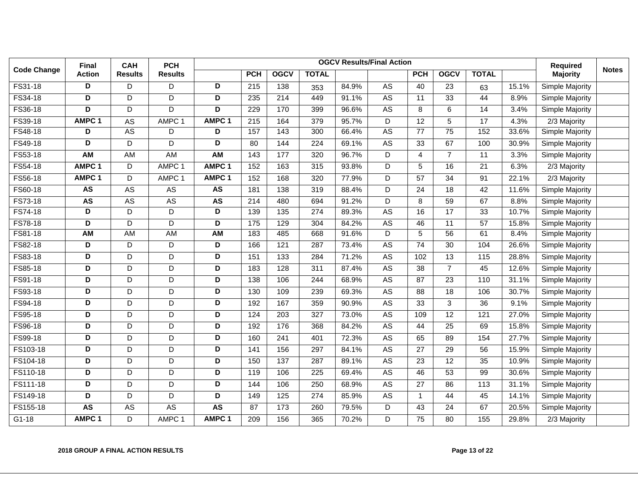|                    | <b>Final</b>      | <b>CAH</b>     | <b>PCH</b>        |                   |                  | <b>Required</b> | <b>Notes</b>     |       |                 |                 |                 |                 |       |                 |  |
|--------------------|-------------------|----------------|-------------------|-------------------|------------------|-----------------|------------------|-------|-----------------|-----------------|-----------------|-----------------|-------|-----------------|--|
| <b>Code Change</b> | <b>Action</b>     | <b>Results</b> | <b>Results</b>    |                   | <b>PCH</b>       | <b>OGCV</b>     | <b>TOTAL</b>     |       |                 | <b>PCH</b>      | <b>OGCV</b>     | <b>TOTAL</b>    |       | <b>Majority</b> |  |
| FS31-18            | D                 | D              | D                 | D                 | 215              | 138             | 353              | 84.9% | AS              | 40              | 23              | 63              | 15.1% | Simple Majority |  |
| FS34-18            | D                 | D              | D                 | D                 | 235              | 214             | 449              | 91.1% | <b>AS</b>       | 11              | 33              | 44              | 8.9%  | Simple Majority |  |
| FS36-18            | D                 | D              | D                 | D                 | 229              | 170             | 399              | 96.6% | $\overline{AS}$ | 8               | 6               | 14              | 3.4%  | Simple Majority |  |
| FS39-18            | AMPC <sub>1</sub> | AS             | AMPC <sub>1</sub> | AMPC <sub>1</sub> | 215              | 164             | 379              | 95.7% | D               | 12              | 5               | 17              | 4.3%  | 2/3 Majority    |  |
| FS48-18            | D                 | <b>AS</b>      | D                 | D                 | 157              | 143             | 300              | 66.4% | $\overline{AS}$ | 77              | $\overline{75}$ | 152             | 33.6% | Simple Majority |  |
| FS49-18            | D                 | D              | $\overline{D}$    | D                 | $\overline{80}$  | 144             | $\overline{224}$ | 69.1% | <b>AS</b>       | $\overline{33}$ | 67              | 100             | 30.9% | Simple Majority |  |
| FS53-18            | <b>AM</b>         | AM             | <b>AM</b>         | AM                | 143              | 177             | 320              | 96.7% | D               | 4               | $\overline{7}$  | 11              | 3.3%  | Simple Majority |  |
| FS54-18            | AMPC <sub>1</sub> | D              | AMPC <sub>1</sub> | AMPC <sub>1</sub> | 152              | 163             | 315              | 93.8% | $\overline{D}$  | 5               | 16              | $\overline{21}$ | 6.3%  | 2/3 Majority    |  |
| FS56-18            | AMPC <sub>1</sub> | D              | AMPC 1            | AMPC <sub>1</sub> | 152              | 168             | 320              | 77.9% | D               | $\overline{57}$ | $\overline{34}$ | 91              | 22.1% | $2/3$ Majority  |  |
| FS60-18            | <b>AS</b>         | AS             | AS                | <b>AS</b>         | 181              | 138             | 319              | 88.4% | D               | 24              | 18              | 42              | 11.6% | Simple Majority |  |
| FS73-18            | <b>AS</b>         | <b>AS</b>      | <b>AS</b>         | <b>AS</b>         | $\overline{214}$ | 480             | 694              | 91.2% | $\overline{D}$  | 8               | 59              | 67              | 8.8%  | Simple Majority |  |
| FS74-18            | D                 | D              | D                 | D                 | 139              | 135             | 274              | 89.3% | <b>AS</b>       | 16              | 17              | 33              | 10.7% | Simple Majority |  |
| <b>FS78-18</b>     | D                 | $\overline{D}$ | D                 | D                 | $\frac{175}{2}$  | 129             | 304              | 84.2% | <b>AS</b>       | 46              | $\overline{11}$ | $\overline{57}$ | 15.8% | Simple Majority |  |
| FS81-18            | <b>AM</b>         | <b>AM</b>      | <b>AM</b>         | AM                | 183              | 485             | 668              | 91.6% | D               | 5               | 56              | 61              | 8.4%  | Simple Majority |  |
| FS82-18            | D                 | D              | D                 | D                 | 166              | 121             | 287              | 73.4% | $\mathsf{AS}$   | 74              | 30              | 104             | 26.6% | Simple Majority |  |
| FS83-18            | D                 | D              | D                 | D                 | 151              | 133             | 284              | 71.2% | $\overline{AS}$ | 102             | 13              | 115             | 28.8% | Simple Majority |  |
| FS85-18            | D                 | D              | D                 | D                 | 183              | 128             | 311              | 87.4% | AS              | 38              | $\overline{7}$  | 45              | 12.6% | Simple Majority |  |
| FS91-18            | D                 | D              | D                 | D                 | 138              | 106             | 244              | 68.9% | $\overline{AS}$ | 87              | 23              | 110             | 31.1% | Simple Majority |  |
| FS93-18            | D                 | D              | D                 | D                 | 130              | 109             | 239              | 69.3% | A <sub>S</sub>  | 88              | 18              | 106             | 30.7% | Simple Majority |  |
| FS94-18            | D                 | D              | D                 | D                 | 192              | 167             | 359              | 90.9% | AS              | 33              | 3               | 36              | 9.1%  | Simple Majority |  |
| FS95-18            | D                 | D              | D                 | D                 | 124              | 203             | 327              | 73.0% | <b>AS</b>       | 109             | 12              | 121             | 27.0% | Simple Majority |  |
| FS96-18            | D                 | D              | D                 | D                 | 192              | 176             | 368              | 84.2% | $\overline{AS}$ | 44              | 25              | 69              | 15.8% | Simple Majority |  |
| FS99-18            | D                 | D              | D                 | D                 | 160              | 241             | 401              | 72.3% | <b>AS</b>       | 65              | 89              | 154             | 27.7% | Simple Majority |  |
| FS103-18           | D                 | D              | D                 | D                 | 141              | 156             | 297              | 84.1% | <b>AS</b>       | 27              | 29              | 56              | 15.9% | Simple Majority |  |
| FS104-18           | D                 | D              | D                 | D                 | 150              | 137             | 287              | 89.1% | AS              | 23              | 12              | 35              | 10.9% | Simple Majority |  |
| FS110-18           | D                 | D              | D                 | D                 | 119              | 106             | 225              | 69.4% | <b>AS</b>       | 46              | 53              | 99              | 30.6% | Simple Majority |  |
| FS111-18           | D                 | D              | D                 | D                 | 144              | 106             | 250              | 68.9% | AS              | 27              | 86              | 113             | 31.1% | Simple Majority |  |
| FS149-18           | D                 | D              | D                 | D                 | 149              | 125             | 274              | 85.9% | <b>AS</b>       | $\overline{1}$  | 44              | 45              | 14.1% | Simple Majority |  |
| FS155-18           | <b>AS</b>         | <b>AS</b>      | <b>AS</b>         | <b>AS</b>         | 87               | 173             | 260              | 79.5% | D               | 43              | 24              | 67              | 20.5% | Simple Majority |  |
| $G1-18$            | AMPC <sub>1</sub> | D              | AMPC 1            | AMPC <sub>1</sub> | 209              | 156             | 365              | 70.2% | D               | $\overline{75}$ | 80              | 155             | 29.8% | 2/3 Majority    |  |

#### **2018 GROUP A FINAL ACTION RESULTS Page 13 of 22**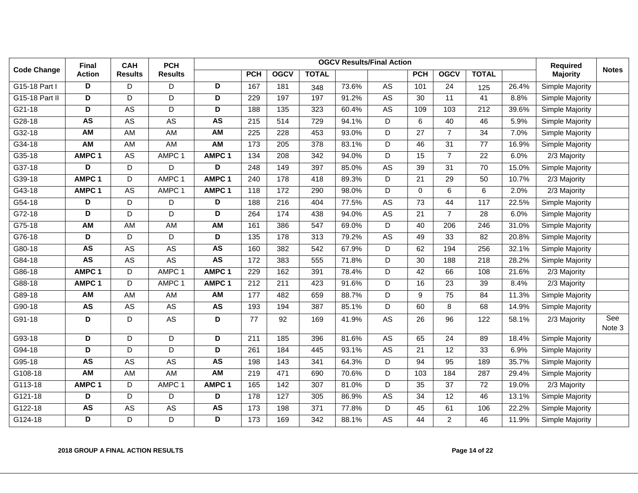|                    | Final                   | <b>CAH</b>      | <b>PCH</b>        | <b>OGCV Results/Final Action</b> |                  |             |                  |       |                 |                 |                 |                 |       | <b>Required</b>        | <b>Notes</b>  |
|--------------------|-------------------------|-----------------|-------------------|----------------------------------|------------------|-------------|------------------|-------|-----------------|-----------------|-----------------|-----------------|-------|------------------------|---------------|
| <b>Code Change</b> | <b>Action</b>           | <b>Results</b>  | <b>Results</b>    |                                  | <b>PCH</b>       | <b>OGCV</b> | <b>TOTAL</b>     |       |                 | <b>PCH</b>      | <b>OGCV</b>     | <b>TOTAL</b>    |       | <b>Majority</b>        |               |
| G15-18 Part I      | D                       | D               | D                 | D                                | 167              | 181         | 348              | 73.6% | AS              | 101             | 24              | 125             | 26.4% | Simple Majority        |               |
| G15-18 Part II     | D                       | D               | D                 | D                                | 229              | 197         | 197              | 91.2% | $\overline{AS}$ | 30              | 11              | 41              | 8.8%  | Simple Majority        |               |
| G21-18             | D                       | $\overline{AS}$ | D                 | D                                | 188              | 135         | 323              | 60.4% | $\overline{AS}$ | 109             | 103             | 212             | 39.6% | Simple Majority        |               |
| G28-18             | <b>AS</b>               | $\overline{AS}$ | <b>AS</b>         | <b>AS</b>                        | 215              | 514         | 729              | 94.1% | D               | 6               | 40              | 46              | 5.9%  | Simple Majority        |               |
| G32-18             | AM                      | <b>AM</b>       | <b>AM</b>         | AM                               | 225              | 228         | 453              | 93.0% | D               | $\overline{27}$ | $\overline{7}$  | 34              | 7.0%  | Simple Majority        |               |
| G34-18             | <b>AM</b>               | AM              | <b>AM</b>         | $\overline{AM}$                  | 173              | 205         | 378              | 83.1% | D               | 46              | 31              | 77              | 16.9% | Simple Majority        |               |
| G35-18             | AMPC <sub>1</sub>       | $\overline{AS}$ | AMPC 1            | AMPC <sub>1</sub>                | 134              | 208         | 342              | 94.0% | D               | 15              | $\overline{7}$  | 22              | 6.0%  | 2/3 Majority           |               |
| G37-18             | D                       | D               | D                 | D                                | 248              | 149         | 397              | 85.0% | AS              | 39              | 31              | 70              | 15.0% | Simple Majority        |               |
| G39-18             | AMPC <sub>1</sub>       | D               | AMPC <sub>1</sub> | AMPC <sub>1</sub>                | $\overline{240}$ | 178         | 418              | 89.3% | D               | $\overline{21}$ | 29              | 50              | 10.7% | $2/3$ Majority         |               |
| G43-18             | AMPC <sub>1</sub>       | $\overline{AS}$ | AMPC 1            | AMPC <sub>1</sub>                | 118              | 172         | 290              | 98.0% | D               | $\Omega$        | 6               | 6               | 2.0%  | $2/3$ Majority         |               |
| G54-18             | D                       | D               | D                 | D                                | 188              | 216         | 404              | 77.5% | AS              | 73              | 44              | 117             | 22.5% | Simple Majority        |               |
| $G72-18$           | D                       | D               | D                 | $\overline{D}$                   | 264              | 174         | 438              | 94.0% | <b>AS</b>       | $\overline{21}$ | $\overline{7}$  | $\overline{28}$ | 6.0%  | Simple Majority        |               |
| G75-18             | $\overline{AM}$         | AM              | AM                | $\overline{AM}$                  | 161              | 386         | 547              | 69.0% | D               | 40              | 206             | 246             | 31.0% | Simple Majority        |               |
| G76-18             | D                       | D               | D                 | D                                | $\frac{135}{ }$  | 178         | 313              | 79.2% | A <sub>S</sub>  | 49              | 33              | $\overline{82}$ | 20.8% | Simple Majority        |               |
| G80-18             | <b>AS</b>               | <b>AS</b>       | <b>AS</b>         | <b>AS</b>                        | 160              | 382         | 542              | 67.9% | D               | 62              | 194             | 256             | 32.1% | Simple Majority        |               |
| G84-18             | <b>AS</b>               | AS              | <b>AS</b>         | <b>AS</b>                        | 172              | 383         | 555              | 71.8% | D               | 30              | 188             | 218             | 28.2% | Simple Majority        |               |
| G86-18             | AMPC <sub>1</sub>       | D               | AMPC <sub>1</sub> | AMPC <sub>1</sub>                | 229              | 162         | 391              | 78.4% | D               | 42              | 66              | 108             | 21.6% | 2/3 Majority           |               |
| G88-18             | AMPC <sub>1</sub>       | D               | AMPC 1            | AMPC <sub>1</sub>                | 212              | 211         | 423              | 91.6% | D               | 16              | 23              | 39              | 8.4%  | $2/3$ Majority         |               |
| G89-18             | <b>AM</b>               | <b>AM</b>       | <b>AM</b>         | <b>AM</b>                        | 177              | 482         | 659              | 88.7% | D               | 9               | $\overline{75}$ | 84              | 11.3% | Simple Majority        |               |
| G90-18             | <b>AS</b>               | AS              | <b>AS</b>         | <b>AS</b>                        | 193              | 194         | 387              | 85.1% | D               | 60              | 8               | 68              | 14.9% | Simple Majority        |               |
| G91-18             | D                       | D               | AS                | D                                | 77               | 92          | 169              | 41.9% | AS              | 26              | 96              | 122             | 58.1% | 2/3 Majority           | See<br>Note 3 |
| G93-18             | $\overline{\mathsf{D}}$ | D               | D                 | $\overline{D}$                   | 211              | 185         | 396              | 81.6% | <b>AS</b>       | 65              | 24              | 89              | 18.4% | <b>Simple Majority</b> |               |
| G94-18             | D                       | $\overline{D}$  | $\overline{D}$    | $\overline{D}$                   | $\overline{261}$ | 184         | 445              | 93.1% | <b>AS</b>       | $\overline{21}$ | $\overline{12}$ | 33              | 6.9%  | Simple Majority        |               |
| G95-18             | <b>AS</b>               | <b>AS</b>       | A <sub>S</sub>    | <b>AS</b>                        | 198              | 143         | 341              | 64.3% | D               | 94              | 95              | 189             | 35.7% | Simple Majority        |               |
| G108-18            | <b>AM</b>               | <b>AM</b>       | <b>AM</b>         | AM                               | 219              | 471         | 690              | 70.6% | $\overline{D}$  | 103             | 184             | 287             | 29.4% | Simple Majority        |               |
| G113-18            | AMPC <sub>1</sub>       | D               | AMPC 1            | AMPC <sub>1</sub>                | 165              | 142         | 307              | 81.0% | D               | 35              | 37              | 72              | 19.0% | 2/3 Majority           |               |
| $G121-18$          | $\overline{\mathsf{D}}$ | D               | $\overline{D}$    | $\overline{\mathsf{D}}$          | 178              | 127         | 305              | 86.9% | <b>AS</b>       | $\overline{34}$ | 12              | 46              | 13.1% | Simple Majority        |               |
| G122-18            | <b>AS</b>               | <b>AS</b>       | <b>AS</b>         | <b>AS</b>                        | 173              | 198         | $\overline{371}$ | 77.8% | $\overline{D}$  | 45              | 61              | 106             | 22.2% | Simple Majority        |               |
| G124-18            | D                       | D               | D                 | $\overline{D}$                   | 173              | 169         | 342              | 88.1% | AS              | 44              | $\overline{2}$  | 46              | 11.9% | Simple Majority        |               |

#### **2018 GROUP A FINAL ACTION RESULTS Page 14 of 22**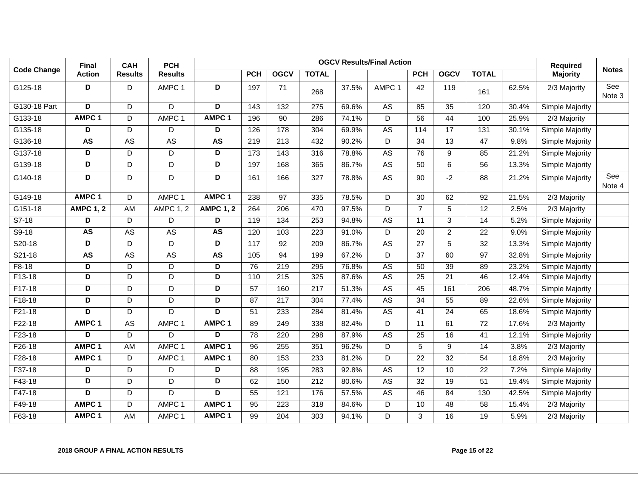|                    | <b>Final</b>            | <b>CAH</b>     | <b>PCH</b>        |                         |                 |                  |                  |       | <b>OGCV Results/Final Action</b> |                 |                 |                 |       | <b>Required</b> |               |
|--------------------|-------------------------|----------------|-------------------|-------------------------|-----------------|------------------|------------------|-------|----------------------------------|-----------------|-----------------|-----------------|-------|-----------------|---------------|
| <b>Code Change</b> | <b>Action</b>           | <b>Results</b> | <b>Results</b>    |                         | <b>PCH</b>      | <b>OGCV</b>      | <b>TOTAL</b>     |       |                                  | <b>PCH</b>      | <b>OGCV</b>     | <b>TOTAL</b>    |       | <b>Majority</b> | <b>Notes</b>  |
| G125-18            | D                       | D              | AMPC 1            | D                       | 197             | 71               | 268              | 37.5% | AMPC <sub>1</sub>                | 42              | 119             | 161             | 62.5% | 2/3 Majority    | See<br>Note 3 |
| G130-18 Part       | D                       | D              | D                 | D                       | 143             | 132              | $\overline{275}$ | 69.6% | A <sub>S</sub>                   | 85              | $\overline{35}$ | 120             | 30.4% | Simple Majority |               |
| G133-18            | AMPC <sub>1</sub>       | D              | AMPC 1            | AMPC <sub>1</sub>       | 196             | $\overline{90}$  | 286              | 74.1% | $\overline{D}$                   | 56              | 44              | 100             | 25.9% | $2/3$ Majority  |               |
| G135-18            | D                       | D              | D                 | D                       | 126             | 178              | 304              | 69.9% | A <sub>S</sub>                   | 114             | 17              | 131             | 30.1% | Simple Majority |               |
| G136-18            | <b>AS</b>               | <b>AS</b>      | <b>AS</b>         | <b>AS</b>               | 219             | 213              | 432              | 90.2% | D                                | 34              | 13              | 47              | 9.8%  | Simple Majority |               |
| G137-18            | D                       | D              | D                 | $\overline{\mathsf{D}}$ | 173             | 143              | 316              | 78.8% | <b>AS</b>                        | $\overline{76}$ | 9               | 85              | 21.2% | Simple Majority |               |
| G139-18            | $\overline{\mathsf{D}}$ | D              | D                 | $\overline{\mathsf{D}}$ | 197             | 168              | 365              | 86.7% | $\overline{AS}$                  | 50              | 6               | 56              | 13.3% | Simple Majority |               |
| G140-18            | D                       | D              | D                 | D                       | 161             | 166              | 327              | 78.8% | AS                               | 90              | $-2$            | 88              | 21.2% | Simple Majority | See<br>Note 4 |
| G149-18            | AMPC <sub>1</sub>       | D              | AMPC <sub>1</sub> | AMPC <sub>1</sub>       | 238             | 97               | $\frac{1}{335}$  | 78.5% | $\overline{D}$                   | $\overline{30}$ | 62              | 92              | 21.5% | 2/3 Majority    |               |
| G151-18            | <b>AMPC 1, 2</b>        | <b>AM</b>      | <b>AMPC 1, 2</b>  | <b>AMPC 1, 2</b>        | 264             | 206              | 470              | 97.5% | D                                | $\overline{7}$  | 5               | $\overline{12}$ | 2.5%  | $2/3$ Majority  |               |
| $S7-18$            | D                       | D              | D                 | D                       | 119             | 134              | 253              | 94.8% | <b>AS</b>                        | 11              | 3               | 14              | 5.2%  | Simple Majority |               |
| $S9-18$            | <b>AS</b>               | <b>AS</b>      | <b>AS</b>         | <b>AS</b>               | 120             | 103              | $\overline{223}$ | 91.0% | D                                | $\overline{20}$ | $\overline{2}$  | $\overline{22}$ | 9.0%  | Simple Majority |               |
| S20-18             | D                       | D              | D                 | D                       | 117             | 92               | 209              | 86.7% | <b>AS</b>                        | 27              | 5               | 32              | 13.3% | Simple Majority |               |
| $S21-18$           | <b>AS</b>               | <b>AS</b>      | <b>AS</b>         | <b>AS</b>               | 105             | 94               | 199              | 67.2% | $\overline{D}$                   | $\overline{37}$ | 60              | $\overline{97}$ | 32.8% | Simple Majority |               |
| $F8-18$            | D                       | D              | D                 | D                       | 76              | 219              | 295              | 76.8% | <b>AS</b>                        | 50              | 39              | 89              | 23.2% | Simple Majority |               |
| $F13-18$           | D                       | D              | D                 | D                       | 110             | 215              | 325              | 87.6% | <b>AS</b>                        | $\overline{25}$ | $\overline{21}$ | 46              | 12.4% | Simple Majority |               |
| F17-18             | D                       | D              | D                 | D                       | 57              | 160              | 217              | 51.3% | AS                               | 45              | 161             | 206             | 48.7% | Simple Majority |               |
| $F18-18$           | D                       | D              | D                 | D                       | 87              | $\overline{217}$ | 304              | 77.4% | <b>AS</b>                        | $\overline{34}$ | $\overline{55}$ | 89              | 22.6% | Simple Majority |               |
| F21-18             | D                       | D              | D                 | D                       | 51              | 233              | 284              | 81.4% | AS                               | 41              | 24              | 65              | 18.6% | Simple Majority |               |
| $F22-18$           | AMPC <sub>1</sub>       | <b>AS</b>      | AMPC 1            | AMPC <sub>1</sub>       | 89              | 249              | 338              | 82.4% | D                                | 11              | 61              | $\overline{72}$ | 17.6% | $2/3$ Majority  |               |
| $F23-18$           | D                       | D              | D                 | D                       | $\overline{78}$ | 220              | 298              | 87.9% | <b>AS</b>                        | $\overline{25}$ | 16              | 41              | 12.1% | Simple Majority |               |
| F26-18             | AMPC <sub>1</sub>       | AM             | AMPC 1            | AMPC <sub>1</sub>       | 96              | 255              | 351              | 96.2% | D                                | 5               | 9               | 14              | 3.8%  | 2/3 Majority    |               |
| $F28-18$           | AMPC <sub>1</sub>       | D              | AMPC <sub>1</sub> | AMPC <sub>1</sub>       | 80              | 153              | 233              | 81.2% | $\overline{D}$                   | $\overline{22}$ | $\overline{32}$ | $\overline{54}$ | 18.8% | $2/3$ Majority  |               |
| F37-18             | D                       | D              | D                 | D                       | 88              | 195              | 283              | 92.8% | AS                               | 12              | 10              | 22              | 7.2%  | Simple Majority |               |
| F43-18             | $\overline{\mathsf{D}}$ | D              | D                 | $\overline{\mathsf{D}}$ | 62              | 150              | $\overline{212}$ | 80.6% | <b>AS</b>                        | $\overline{32}$ | $\overline{19}$ | $\overline{51}$ | 19.4% | Simple Majority |               |
| $F47-18$           | D                       | D              | D                 | D                       | $\overline{55}$ | 121              | 176              | 57.5% | <b>AS</b>                        | 46              | 84              | 130             | 42.5% | Simple Majority |               |
| F49-18             | AMPC <sub>1</sub>       | D              | AMPC 1            | AMPC <sub>1</sub>       | 95              | 223              | 318              | 84.6% | D                                | 10              | 48              | 58              | 15.4% | 2/3 Majority    |               |
| F63-18             | AMPC <sub>1</sub>       | <b>AM</b>      | AMPC <sub>1</sub> | AMPC <sub>1</sub>       | 99              | 204              | 303              | 94.1% | D                                | 3               | 16              | 19              | 5.9%  | 2/3 Majority    |               |

#### **2018 GROUP A FINAL ACTION RESULTS Page 15 of 22**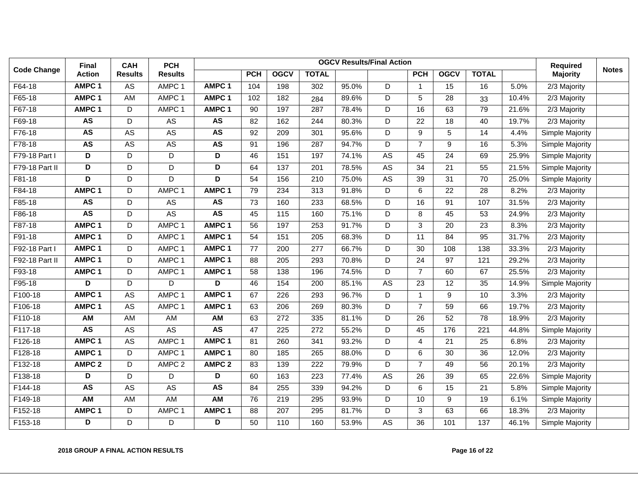|                    | Final             | <b>CAH</b>     | <b>PCH</b>        | <b>OGCV Results/Final Action</b> |                 |                   |                  |       |                |                 |                 |                  | <b>Required</b> |                 |              |
|--------------------|-------------------|----------------|-------------------|----------------------------------|-----------------|-------------------|------------------|-------|----------------|-----------------|-----------------|------------------|-----------------|-----------------|--------------|
| <b>Code Change</b> | <b>Action</b>     | <b>Results</b> | <b>Results</b>    |                                  | <b>PCH</b>      | <b>OGCV</b>       | <b>TOTAL</b>     |       |                | <b>PCH</b>      | <b>OGCV</b>     | <b>TOTAL</b>     |                 | <b>Majority</b> | <b>Notes</b> |
| F64-18             | AMPC <sub>1</sub> | AS             | AMPC 1            | AMPC <sub>1</sub>                | 104             | 198               | 302              | 95.0% | D              | $\overline{1}$  | $\overline{15}$ | $\overline{16}$  | 5.0%            | 2/3 Majority    |              |
| F65-18             | AMPC <sub>1</sub> | <b>AM</b>      | AMPC 1            | AMPC <sub>1</sub>                | 102             | 182               | 284              | 89.6% | $\overline{D}$ | 5               | $\overline{28}$ | 33               | 10.4%           | $2/3$ Majority  |              |
| F67-18             | AMPC <sub>1</sub> | D              | AMPC 1            | AMPC <sub>1</sub>                | 90              | 197               | 287              | 78.4% | D              | 16              | 63              | 79               | 21.6%           | 2/3 Majority    |              |
| F69-18             | <b>AS</b>         | D              | <b>AS</b>         | <b>AS</b>                        | 82              | 162               | 244              | 80.3% | D              | $\overline{22}$ | $\overline{18}$ | 40               | 19.7%           | 2/3 Majority    |              |
| F76-18             | <b>AS</b>         | <b>AS</b>      | <b>AS</b>         | <b>AS</b>                        | 92              | $\overline{209}$  | 301              | 95.6% | D              | 9               | 5               | $\overline{14}$  | 4.4%            | Simple Majority |              |
| F78-18             | <b>AS</b>         | <b>AS</b>      | A <sub>S</sub>    | <b>AS</b>                        | 91              | 196               | 287              | 94.7% | D              | $\overline{7}$  | 9               | 16               | 5.3%            | Simple Majority |              |
| F79-18 Part I      | D                 | D              | D                 | D                                | 46              | 151               | 197              | 74.1% | <b>AS</b>      | 45              | 24              | 69               | 25.9%           | Simple Majority |              |
| F79-18 Part II     | D                 | D              | D                 | D                                | 64              | 137               | 201              | 78.5% | AS             | 34              | 21              | 55               | 21.5%           | Simple Majority |              |
| F81-18             | D                 | D              | $\overline{D}$    | D                                | $\overline{54}$ | 156               | 210              | 75.0% | <b>AS</b>      | $\overline{39}$ | $\overline{31}$ | 70               | 25.0%           | Simple Majority |              |
| F84-18             | AMPC <sub>1</sub> | D              | AMPC <sub>1</sub> | AMPC <sub>1</sub>                | 79              | 234               | $\overline{313}$ | 91.8% | D              | 6               | $\overline{22}$ | $\overline{28}$  | 8.2%            | 2/3 Majority    |              |
| F85-18             | <b>AS</b>         | D              | AS                | <b>AS</b>                        | 73              | 160               | 233              | 68.5% | D              | 16              | 91              | 107              | 31.5%           | 2/3 Majority    |              |
| F86-18             | <b>AS</b>         | D              | A <sub>S</sub>    | <b>AS</b>                        | 45              | $\frac{115}{115}$ | 160              | 75.1% | D              | 8               | 45              | $\overline{53}$  | 24.9%           | $2/3$ Majority  |              |
| F87-18             | AMPC <sub>1</sub> | D              | AMPC <sub>1</sub> | AMPC <sub>1</sub>                | 56              | 197               | 253              | 91.7% | D              | 3               | 20              | 23               | 8.3%            | 2/3 Majority    |              |
| F91-18             | AMPC <sub>1</sub> | D              | AMPC 1            | AMPC <sub>1</sub>                | 54              | 151               | $\overline{205}$ | 68.3% | $\overline{D}$ | 11              | 84              | 95               | 31.7%           | 2/3 Majority    |              |
| F92-18 Part I      | AMPC <sub>1</sub> | D              | AMPC <sub>1</sub> | AMPC <sub>1</sub>                | 77              | 200               | $\overline{277}$ | 66.7% | D              | $\overline{30}$ | 108             | 138              | 33.3%           | 2/3 Majority    |              |
| F92-18 Part II     | AMPC <sub>1</sub> | D              | AMPC <sub>1</sub> | AMPC <sub>1</sub>                | 88              | 205               | 293              | 70.8% | D              | $\overline{24}$ | 97              | 121              | 29.2%           | $2/3$ Majority  |              |
| F93-18             | AMPC <sub>1</sub> | D              | AMPC 1            | AMPC <sub>1</sub>                | 58              | 138               | 196              | 74.5% | D              | $\overline{7}$  | 60              | 67               | 25.5%           | 2/3 Majority    |              |
| F95-18             | D                 | D              | D                 | D                                | 46              | 154               | 200              | 85.1% | <b>AS</b>      | 23              | 12              | 35               | 14.9%           | Simple Majority |              |
| F100-18            | AMPC <sub>1</sub> | <b>AS</b>      | AMPC 1            | AMPC <sub>1</sub>                | 67              | $\overline{226}$  | 293              | 96.7% | $\overline{D}$ | $\mathbf{1}$    | 9               | 10               | 3.3%            | 2/3 Majority    |              |
| F106-18            | AMPC 1            | <b>AS</b>      | AMPC <sub>1</sub> | AMPC <sub>1</sub>                | 63              | 206               | 269              | 80.3% | $\overline{D}$ | $\overline{7}$  | $\overline{59}$ | 66               | 19.7%           | 2/3 Majority    |              |
| F110-18            | <b>AM</b>         | AM             | <b>AM</b>         | <b>AM</b>                        | 63              | 272               | 335              | 81.1% | D              | 26              | 52              | 78               | 18.9%           | 2/3 Majority    |              |
| F117-18            | <b>AS</b>         | A <sub>S</sub> | <b>AS</b>         | <b>AS</b>                        | 47              | $\overline{225}$  | $\overline{272}$ | 55.2% | D              | $\overline{45}$ | 176             | $\overline{221}$ | 44.8%           | Simple Majority |              |
| F126-18            | AMPC <sub>1</sub> | AS             | AMPC 1            | AMPC <sub>1</sub>                | 81              | 260               | 341              | 93.2% | D              | 4               | 21              | 25               | 6.8%            | 2/3 Majority    |              |
| F128-18            | AMPC <sub>1</sub> | D              | AMPC 1            | AMPC <sub>1</sub>                | 80              | 185               | 265              | 88.0% | $\overline{D}$ | 6               | $\overline{30}$ | 36               | 12.0%           | 2/3 Majority    |              |
| F132-18            | AMPC <sub>2</sub> | D              | AMPC <sub>2</sub> | AMPC <sub>2</sub>                | 83              | 139               | $\overline{222}$ | 79.9% | $\overline{D}$ | $\overline{7}$  | 49              | 56               | 20.1%           | $2/3$ Majority  |              |
| F138-18            | D                 | D              | D                 | D                                | 60              | 163               | 223              | 77.4% | <b>AS</b>      | 26              | 39              | 65               | 22.6%           | Simple Majority |              |
| F144-18            | <b>AS</b>         | <b>AS</b>      | AS                | <b>AS</b>                        | 84              | 255               | 339              | 94.2% | D              | 6               | 15              | 21               | 5.8%            | Simple Majority |              |
| F149-18            | <b>AM</b>         | AM             | <b>AM</b>         | <b>AM</b>                        | 76              | 219               | 295              | 93.9% | D              | 10              | 9               | 19               | 6.1%            | Simple Majority |              |
| F152-18            | AMPC <sub>1</sub> | D              | AMPC 1            | AMPC <sub>1</sub>                | 88              | 207               | 295              | 81.7% | $\overline{D}$ | $\mathbf{3}$    | 63              | 66               | 18.3%           | 2/3 Majority    |              |
| F153-18            | D                 | D              | D                 | D                                | 50              | 110               | 160              | 53.9% | <b>AS</b>      | $\overline{36}$ | 101             | $\frac{1}{137}$  | 46.1%           | Simple Majority |              |

#### **2018 GROUP A FINAL ACTION RESULTS Page 16 of 22**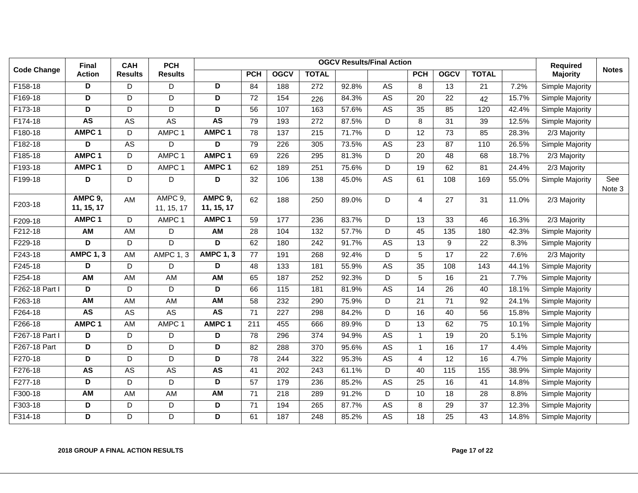|                    | <b>Final</b>            | <b>CAH</b>     | <b>PCH</b>            |                         |                 | <b>Required</b>   |                  |       |                |                 |                  |                 |       |                        |               |
|--------------------|-------------------------|----------------|-----------------------|-------------------------|-----------------|-------------------|------------------|-------|----------------|-----------------|------------------|-----------------|-------|------------------------|---------------|
| <b>Code Change</b> | <b>Action</b>           | <b>Results</b> | <b>Results</b>        |                         | <b>PCH</b>      | <b>OGCV</b>       | <b>TOTAL</b>     |       |                | <b>PCH</b>      | <b>OGCV</b>      | <b>TOTAL</b>    |       | <b>Majority</b>        | <b>Notes</b>  |
| F158-18            | D                       | D              | D                     | D                       | 84              | 188               | 272              | 92.8% | AS             | 8               | 13               | 21              | 7.2%  | Simple Majority        |               |
| F169-18            | $\overline{\mathsf{D}}$ | D              | D                     | $\overline{\mathsf{D}}$ | 72              | 154               | 226              | 84.3% | <b>AS</b>      | 20              | 22               | 42              | 15.7% | <b>Simple Majority</b> |               |
| F173-18            | D                       | D              | D                     | D                       | 56              | 107               | 163              | 57.6% | A <sub>S</sub> | 35              | 85               | 120             | 42.4% | Simple Majority        |               |
| F174-18            | <b>AS</b>               | <b>AS</b>      | <b>AS</b>             | <b>AS</b>               | 79              | 193               | 272              | 87.5% | D              | 8               | 31               | 39              | 12.5% | Simple Majority        |               |
| F180-18            | AMPC <sub>1</sub>       | D              | AMPC 1                | AMPC <sub>1</sub>       | 78              | $\overline{137}$  | 215              | 71.7% | D              | $\overline{12}$ | $\overline{73}$  | 85              | 28.3% | $2/3$ Majority         |               |
| F182-18            | D                       | AS             | D                     | D                       | 79              | 226               | 305              | 73.5% | AS             | 23              | 87               | 110             | 26.5% | Simple Majority        |               |
| F185-18            | AMPC <sub>1</sub>       | D              | AMPC 1                | AMPC <sub>1</sub>       | 69              | $\overline{226}$  | 295              | 81.3% | $\overline{D}$ | $\overline{20}$ | $\overline{48}$  | 68              | 18.7% | 2/3 Majority           |               |
| F193-18            | AMPC <sub>1</sub>       | D              | AMPC 1                | AMPC <sub>1</sub>       | 62              | 189               | 251              | 75.6% | D              | 19              | 62               | 81              | 24.4% | 2/3 Majority           |               |
| F199-18            | D                       | D              | D                     | D                       | 32              | 106               | 138              | 45.0% | AS             | 61              | 108              | 169             | 55.0% | Simple Majority        | See<br>Note 3 |
| F203-18            | AMPC 9,<br>11, 15, 17   | AM             | AMPC 9,<br>11, 15, 17 | AMPC 9,<br>11, 15, 17   | 62              | 188               | 250              | 89.0% | D              | 4               | 27               | 31              | 11.0% | 2/3 Majority           |               |
| F209-18            | AMPC <sub>1</sub>       | D              | AMPC 1                | AMPC <sub>1</sub>       | 59              | 177               | 236              | 83.7% | D              | 13              | 33               | 46              | 16.3% | 2/3 Majority           |               |
| F212-18            | <b>AM</b>               | <b>AM</b>      | D                     | <b>AM</b>               | $\overline{28}$ | 104               | $\overline{132}$ | 57.7% | $\overline{D}$ | 45              | $\overline{135}$ | 180             | 42.3% | Simple Majority        |               |
| F229-18            | D                       | D              | D                     | $\overline{\mathsf{D}}$ | 62              | 180               | $\overline{242}$ | 91.7% | <b>AS</b>      | $\overline{13}$ | 9                | $\overline{22}$ | 8.3%  | Simple Majority        |               |
| F243-18            | <b>AMPC 1, 3</b>        | AM             | <b>AMPC 1, 3</b>      | <b>AMPC 1, 3</b>        | 77              | 191               | 268              | 92.4% | D              | 5               | 17               | 22              | 7.6%  | $2/3$ Majority         |               |
| F245-18            | D                       | D              | D                     | D                       | 48              | 133               | 181              | 55.9% | <b>AS</b>      | 35              | 108              | 143             | 44.1% | Simple Majority        |               |
| F254-18            | AM                      | AM             | AM                    | AM                      | 65              | 187               | 252              | 92.3% | D              | 5               | 16               | 21              | 7.7%  | Simple Majority        |               |
| F262-18 Part I     | D                       | D              | D                     | $\overline{\mathsf{D}}$ | 66              | $\frac{115}{115}$ | 181              | 81.9% | <b>AS</b>      | 14              | $\overline{26}$  | 40              | 18.1% | Simple Majority        |               |
| F263-18            | $\overline{AM}$         | AM             | <b>AM</b>             | AM                      | 58              | 232               | 290              | 75.9% | D              | $\overline{21}$ | $\overline{71}$  | $\overline{92}$ | 24.1% | Simple Majority        |               |
| F264-18            | <b>AS</b>               | AS             | AS                    | AS                      | 71              | 227               | 298              | 84.2% | D              | 16              | 40               | 56              | 15.8% | Simple Majority        |               |
| F266-18            | AMPC <sub>1</sub>       | <b>AM</b>      | AMPC <sub>1</sub>     | AMPC <sub>1</sub>       | 211             | 455               | 666              | 89.9% | D              | 13              | 62               | $\overline{75}$ | 10.1% | Simple Majority        |               |
| F267-18 Part I     | D                       | D              | D                     | D                       | 78              | 296               | 374              | 94.9% | AS             | $\mathbf{1}$    | 19               | 20              | 5.1%  | Simple Majority        |               |
| F267-18 Part       | D                       | D              | $\overline{D}$        | $\overline{D}$          | 82              | 288               | 370              | 95.6% | <b>AS</b>      | $\mathbf{1}$    | 16               | 17              | 4.4%  | Simple Majority        |               |
| F270-18            | D                       | D              | D                     | D                       | 78              | 244               | 322              | 95.3% | <b>AS</b>      | $\overline{4}$  | $\overline{12}$  | 16              | 4.7%  | Simple Majority        |               |
| F276-18            | <b>AS</b>               | AS             | AS                    | <b>AS</b>               | 41              | 202               | 243              | 61.1% | D              | 40              | 115              | 155             | 38.9% | Simple Majority        |               |
| F277-18            | D                       | D              | D                     | D                       | $\overline{57}$ | 179               | 236              | 85.2% | <b>AS</b>      | $\overline{25}$ | 16               | 41              | 14.8% | Simple Majority        |               |
| F300-18            | AM                      | AM             | AM                    | AM                      | 71              | 218               | 289              | 91.2% | D              | 10              | 18               | 28              | 8.8%  | Simple Majority        |               |
| F303-18            | $\overline{D}$          | $\mathsf D$    | D                     | $\overline{\mathsf{D}}$ | $\overline{71}$ | 194               | 265              | 87.7% | <b>AS</b>      | 8               | 29               | $\overline{37}$ | 12.3% | Simple Majority        |               |
| F314-18            | D                       | D              | D                     | D                       | 61              | 187               | 248              | 85.2% | <b>AS</b>      | 18              | $\overline{25}$  | 43              | 14.8% | Simple Majority        |               |

#### **2018 GROUP A FINAL ACTION RESULTS Page 17 of 22**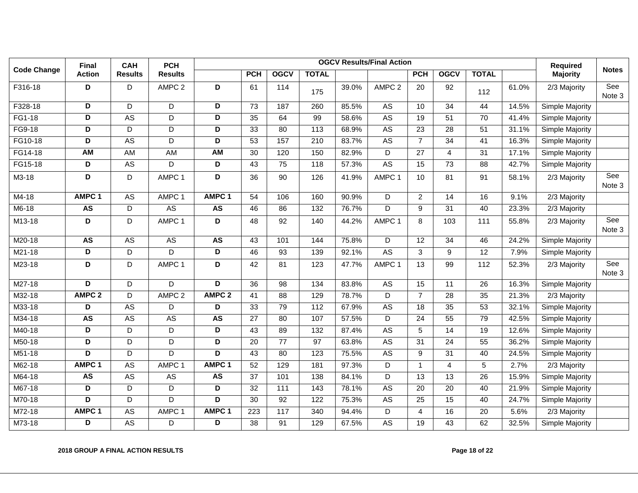|                    | Final                   | <b>CAH</b>      | <b>PCH</b>        |                         |                 |                 |                  |       | <b>OGCV Results/Final Action</b> |                 |                 |                 |       | Required        |               |
|--------------------|-------------------------|-----------------|-------------------|-------------------------|-----------------|-----------------|------------------|-------|----------------------------------|-----------------|-----------------|-----------------|-------|-----------------|---------------|
| <b>Code Change</b> | <b>Action</b>           | <b>Results</b>  | <b>Results</b>    |                         | <b>PCH</b>      | <b>OGCV</b>     | <b>TOTAL</b>     |       |                                  | <b>PCH</b>      | <b>OGCV</b>     | <b>TOTAL</b>    |       | <b>Majority</b> | <b>Notes</b>  |
| F316-18            | D                       | D               | AMPC <sub>2</sub> | D                       | 61              | 114             | 175              | 39.0% | AMPC <sub>2</sub>                | 20              | 92              | 112             | 61.0% | 2/3 Majority    | See<br>Note 3 |
| F328-18            | D                       | D               | D                 | D                       | 73              | 187             | 260              | 85.5% | A <sub>S</sub>                   | 10              | 34              | 44              | 14.5% | Simple Majority |               |
| FG1-18             | $\overline{\mathsf{D}}$ | A <sub>S</sub>  | D                 | $\overline{\mathsf{D}}$ | $\overline{35}$ | 64              | 99               | 58.6% | <b>AS</b>                        | 19              | $\overline{51}$ | 70              | 41.4% | Simple Majority |               |
| FG9-18             | $\overline{\mathsf{D}}$ | $\overline{D}$  | $\overline{D}$    | $\overline{D}$          | $\overline{33}$ | 80              | $\overline{113}$ | 68.9% | <b>AS</b>                        | $\overline{23}$ | 28              | 51              | 31.1% | Simple Majority |               |
| FG10-18            | D                       | AS              | D                 | D                       | 53              | 157             | 210              | 83.7% | AS                               | $\overline{7}$  | 34              | 41              | 16.3% | Simple Majority |               |
| FG14-18            | <b>AM</b>               | <b>AM</b>       | <b>AM</b>         | <b>AM</b>               | 30              | 120             | 150              | 82.9% | D                                | $\overline{27}$ | $\overline{4}$  | $\overline{31}$ | 17.1% | Simple Majority |               |
| FG15-18            | D                       | A <sub>S</sub>  | D                 | D                       | 43              | 75              | 118              | 57.3% | <b>AS</b>                        | 15              | $\overline{73}$ | 88              | 42.7% | Simple Majority |               |
| M3-18              | D                       | D               | AMPC 1            | D                       | 36              | 90              | 126              | 41.9% | AMPC 1                           | 10              | 81              | 91              | 58.1% | 2/3 Majority    | See<br>Note 3 |
| M4-18              | AMPC <sub>1</sub>       | AS              | AMPC 1            | AMPC <sub>1</sub>       | 54              | 106             | 160              | 90.9% | D                                | $\overline{2}$  | 14              | 16              | 9.1%  | 2/3 Majority    |               |
| $M6-18$            | <b>AS</b>               | D               | <b>AS</b>         | <b>AS</b>               | 46              | 86              | 132              | 76.7% | $\overline{D}$                   | 9               | $\overline{31}$ | 40              | 23.3% | 2/3 Majority    |               |
| M13-18             | D                       | D               | AMPC 1            | D                       | 48              | 92              | 140              | 44.2% | AMPC 1                           | 8               | 103             | 111             | 55.8% | 2/3 Majority    | See<br>Note 3 |
| M20-18             | <b>AS</b>               | AS              | A <sub>S</sub>    | <b>AS</b>               | 43              | 101             | 144              | 75.8% | D                                | 12              | 34              | 46              | 24.2% | Simple Majority |               |
| M21-18             | D                       | D               | D                 | D                       | 46              | 93              | 139              | 92.1% | A <sub>S</sub>                   | 3               | 9               | 12              | 7.9%  | Simple Majority |               |
| M23-18             | D                       | D               | AMPC 1            | D                       | 42              | 81              | 123              | 47.7% | AMPC 1                           | 13              | 99              | 112             | 52.3% | 2/3 Majority    | See<br>Note 3 |
| M27-18             | D                       | D               | D                 | D                       | 36              | 98              | 134              | 83.8% | A <sub>S</sub>                   | 15              | 11              | 26              | 16.3% | Simple Majority |               |
| M32-18             | AMPC <sub>2</sub>       | D               | AMPC <sub>2</sub> | AMPC <sub>2</sub>       | 41              | 88              | 129              | 78.7% | D                                | $\overline{7}$  | 28              | 35              | 21.3% | 2/3 Majority    |               |
| M33-18             | $\overline{\mathsf{D}}$ | <b>AS</b>       | D                 | $\overline{\mathsf{D}}$ | $\overline{33}$ | 79              | 112              | 67.9% | <b>AS</b>                        | $\overline{18}$ | $\overline{35}$ | 53              | 32.1% | Simple Majority |               |
| M34-18             | <b>AS</b>               | AS              | <b>AS</b>         | <b>AS</b>               | 27              | 80              | 107              | 57.5% | D                                | 24              | 55              | 79              | 42.5% | Simple Majority |               |
| M40-18             | D                       | D               | D                 | D                       | 43              | 89              | 132              | 87.4% | A <sub>S</sub>                   | 5               | 14              | 19              | 12.6% | Simple Majority |               |
| M50-18             | $\overline{\mathsf{D}}$ | $\overline{D}$  | $\overline{D}$    | $\overline{D}$          | $\overline{20}$ | $\overline{77}$ | $\overline{97}$  | 63.8% | <b>AS</b>                        | $\overline{31}$ | $\overline{24}$ | $\overline{55}$ | 36.2% | Simple Majority |               |
| M51-18             | D                       | D               | D                 | $\overline{D}$          | 43              | 80              | 123              | 75.5% | A <sub>S</sub>                   | 9               | 31              | 40              | 24.5% | Simple Majority |               |
| M62-18             | AMPC <sub>1</sub>       | <b>AS</b>       | AMPC <sub>1</sub> | AMPC <sub>1</sub>       | 52              | 129             | 181              | 97.3% | D                                | $\mathbf{1}$    | $\overline{4}$  | 5               | 2.7%  | 2/3 Majority    |               |
| M64-18             | <b>AS</b>               | A <sub>S</sub>  | <b>AS</b>         | <b>AS</b>               | $\overline{37}$ | 101             | 138              | 84.1% | $\overline{D}$                   | $\overline{13}$ | $\overline{13}$ | $\overline{26}$ | 15.9% | Simple Majority |               |
| M67-18             | D                       | D               | D                 | D                       | 32              | 111             | 143              | 78.1% | A <sub>S</sub>                   | 20              | 20              | 40              | 21.9% | Simple Majority |               |
| M70-18             | $\overline{D}$          | $\overline{D}$  | D                 | $\overline{\mathsf{D}}$ | $\overline{30}$ | $\overline{92}$ | 122              | 75.3% | <b>AS</b>                        | $\overline{25}$ | $\overline{15}$ | 40              | 24.7% | Simple Majority |               |
| M72-18             | AMPC <sub>1</sub>       | $\overline{AS}$ | AMPC 1            | AMPC <sub>1</sub>       | 223             | 117             | 340              | 94.4% | D                                | 4               | 16              | 20              | 5.6%  | 2/3 Majority    |               |
| M73-18             | D                       | $\overline{AS}$ | D                 | D                       | $\overline{38}$ | 91              | 129              | 67.5% | <b>AS</b>                        | 19              | 43              | 62              | 32.5% | Simple Majority |               |

#### **2018 GROUP A FINAL ACTION RESULTS Page 18 of 22**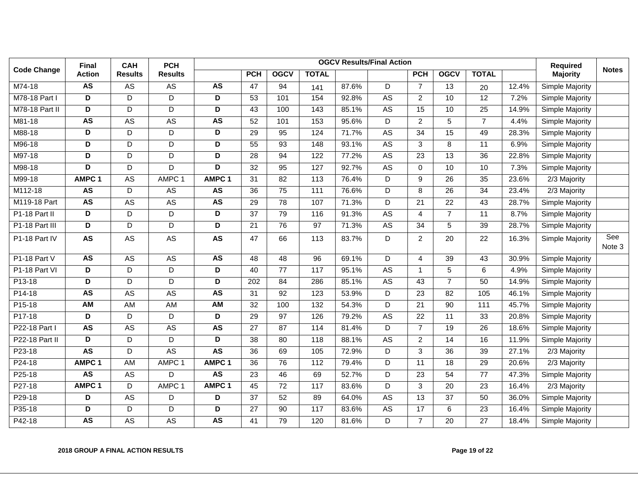|                    | Final                   | <b>CAH</b><br><b>PCH</b> |                |                         |                 |                 |                  | <b>OGCV Results/Final Action</b> |                |                 |                 |                 | <b>Required</b> |                 |               |
|--------------------|-------------------------|--------------------------|----------------|-------------------------|-----------------|-----------------|------------------|----------------------------------|----------------|-----------------|-----------------|-----------------|-----------------|-----------------|---------------|
| <b>Code Change</b> | <b>Action</b>           | <b>Results</b>           | <b>Results</b> |                         | <b>PCH</b>      | <b>OGCV</b>     | <b>TOTAL</b>     |                                  |                | <b>PCH</b>      | <b>OGCV</b>     | <b>TOTAL</b>    |                 | <b>Majority</b> | <b>Notes</b>  |
| M74-18             | <b>AS</b>               | AS                       | AS             | <b>AS</b>               | 47              | 94              | 141              | 87.6%                            | D              | $\overline{7}$  | 13              | 20              | 12.4%           | Simple Majority |               |
| M78-18 Part I      | $\overline{\mathsf{D}}$ | D                        | D              | $\overline{\mathsf{D}}$ | 53              | 101             | 154              | 92.8%                            | <b>AS</b>      | $\overline{c}$  | 10              | 12              | 7.2%            | Simple Majority |               |
| M78-18 Part II     | D                       | D                        | D              | D                       | 43              | 100             | 143              | 85.1%                            | <b>AS</b>      | 15              | 10              | 25              | 14.9%           | Simple Majority |               |
| M81-18             | <b>AS</b>               | <b>AS</b>                | <b>AS</b>      | <b>AS</b>               | 52              | 101             | 153              | 95.6%                            | D              | $\overline{c}$  | 5               | $\overline{7}$  | 4.4%            | Simple Majority |               |
| M88-18             | D                       | D                        | D              | D                       | 29              | 95              | 124              | 71.7%                            | <b>AS</b>      | $\overline{34}$ | 15              | 49              | 28.3%           | Simple Majority |               |
| M96-18             | D                       | D                        | D              | $\overline{D}$          | 55              | $\overline{93}$ | 148              | 93.1%                            | <b>AS</b>      | 3               | 8               | 11              | 6.9%            | Simple Majority |               |
| M97-18             | D                       | D                        | D              | D                       | 28              | 94              | 122              | 77.2%                            | <b>AS</b>      | 23              | 13              | 36              | 22.8%           | Simple Majority |               |
| M98-18             | D                       | D                        | D              | D                       | 32              | 95              | 127              | 92.7%                            | AS             | $\Omega$        | 10              | 10              | 7.3%            | Simple Majority |               |
| M99-18             | AMPC <sub>1</sub>       | $\overline{AS}$          | AMPC 1         | AMPC <sub>1</sub>       | 31              | $\overline{82}$ | $\overline{113}$ | 76.4%                            | D              | 9               | $\overline{26}$ | $\overline{35}$ | 23.6%           | 2/3 Majority    |               |
| M112-18            | <b>AS</b>               | D                        | <b>AS</b>      | <b>AS</b>               | $\overline{36}$ | 75              | 111              | 76.6%                            | D              | 8               | 26              | $\overline{34}$ | 23.4%           | 2/3 Majority    |               |
| M119-18 Part       | <b>AS</b>               | AS                       | AS             | <b>AS</b>               | 29              | 78              | 107              | 71.3%                            | D              | 21              | 22              | 43              | 28.7%           | Simple Majority |               |
| P1-18 Part II      | $\overline{\mathsf{D}}$ | D                        | D              | $\overline{\mathsf{D}}$ | $\overline{37}$ | 79              | 116              | 91.3%                            | <b>AS</b>      | $\overline{4}$  | $\overline{7}$  | 11              | 8.7%            | Simple Majority |               |
| P1-18 Part III     | D                       | $\mathsf D$              | D              | $\overline{\mathsf{D}}$ | 21              | 76              | 97               | 71.3%                            | <b>AS</b>      | 34              | 5               | 39              | 28.7%           | Simple Majority |               |
| P1-18 Part IV      | <b>AS</b>               | AS                       | AS             | AS                      | 47              | 66              | 113              | 83.7%                            | D              | $\overline{c}$  | 20              | 22              | 16.3%           | Simple Majority | See<br>Note 3 |
| P1-18 Part V       | <b>AS</b>               | <b>AS</b>                | A <sub>S</sub> | <b>AS</b>               | 48              | 48              | 96               | 69.1%                            | D              | 4               | 39              | 43              | 30.9%           | Simple Majority |               |
| P1-18 Part VI      | $\overline{\mathsf{D}}$ | D                        | $\overline{D}$ | $\overline{D}$          | 40              | 77              | $\overline{117}$ | 95.1%                            | <b>AS</b>      | $\mathbf{1}$    | 5               | 6               | 4.9%            | Simple Majority |               |
| P13-18             | D                       | D                        | D              | $\overline{D}$          | 202             | 84              | 286              | 85.1%                            | A <sub>S</sub> | 43              | $\overline{7}$  | 50              | 14.9%           | Simple Majority |               |
| P14-18             | <b>AS</b>               | $\overline{AS}$          | <b>AS</b>      | <b>AS</b>               | 31              | 92              | 123              | 53.9%                            | D              | 23              | 82              | 105             | 46.1%           | Simple Majority |               |
| P15-18             | <b>AM</b>               | AM                       | <b>AM</b>      | $\overline{AM}$         | 32              | 100             | 132              | 54.3%                            | D              | 21              | 90              | 111             | 45.7%           | Simple Majority |               |
| P17-18             | D                       | D                        | D              | D                       | 29              | 97              | 126              | 79.2%                            | AS             | 22              | 11              | 33              | 20.8%           | Simple Majority |               |
| P22-18 Part I      | <b>AS</b>               | <b>AS</b>                | <b>AS</b>      | <b>AS</b>               | $\overline{27}$ | $\overline{87}$ | 114              | 81.4%                            | D              | $\overline{7}$  | $\overline{19}$ | $\overline{26}$ | 18.6%           | Simple Majority |               |
| P22-18 Part II     | D                       | D                        | D              | D                       | 38              | 80              | 118              | 88.1%                            | <b>AS</b>      | 2               | 14              | 16              | 11.9%           | Simple Majority |               |
| P23-18             | <b>AS</b>               | D                        | A <sub>S</sub> | AS                      | 36              | 69              | 105              | 72.9%                            | D              | 3               | 36              | 39              | 27.1%           | 2/3 Majority    |               |
| P24-18             | AMPC <sub>1</sub>       | AM                       | AMPC 1         | AMPC <sub>1</sub>       | 36              | 76              | 112              | 79.4%                            | D              | 11              | 18              | 29              | 20.6%           | $2/3$ Majority  |               |
| P25-18             | <b>AS</b>               | AS                       | D              | <b>AS</b>               | 23              | 46              | 69               | 52.7%                            | D              | 23              | 54              | 77              | 47.3%           | Simple Majority |               |
| P27-18             | AMPC <sub>1</sub>       | D                        | AMPC 1         | AMPC 1                  | 45              | $\overline{72}$ | 117              | 83.6%                            | $\overline{D}$ | 3               | $\overline{20}$ | $\overline{23}$ | 16.4%           | 2/3 Majority    |               |
| P29-18             | D                       | <b>AS</b>                | D              | D                       | 37              | 52              | 89               | 64.0%                            | <b>AS</b>      | 13              | 37              | 50              | 36.0%           | Simple Majority |               |
| P35-18             | D                       | D                        | D              | D                       | 27              | 90              | 117              | 83.6%                            | <b>AS</b>      | 17              | 6               | 23              | 16.4%           | Simple Majority |               |
| P42-18             | <b>AS</b>               | $\overline{AS}$          | A <sub>S</sub> | <b>AS</b>               | 41              | 79              | 120              | 81.6%                            | D              | $\overline{7}$  | 20              | $\overline{27}$ | 18.4%           | Simple Majority |               |

#### **2018 GROUP A FINAL ACTION RESULTS Page 19 of 22**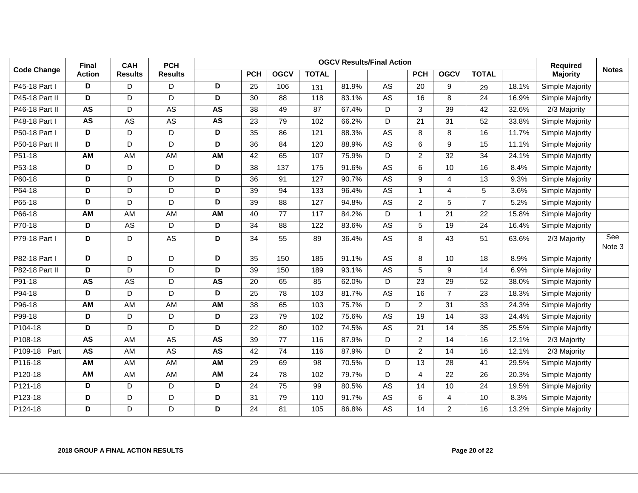|                    | <b>Final</b>  | <b>CAH</b>      | <b>PCH</b>     |                         |                 |                 |                  |       | <b>OGCV Results/Final Action</b> |                 |                 |                 |       | <b>Required</b> |               |
|--------------------|---------------|-----------------|----------------|-------------------------|-----------------|-----------------|------------------|-------|----------------------------------|-----------------|-----------------|-----------------|-------|-----------------|---------------|
| <b>Code Change</b> | <b>Action</b> | <b>Results</b>  | <b>Results</b> |                         | <b>PCH</b>      | <b>OGCV</b>     | <b>TOTAL</b>     |       |                                  | <b>PCH</b>      | <b>OGCV</b>     | <b>TOTAL</b>    |       | <b>Majority</b> | <b>Notes</b>  |
| P45-18 Part I      | D             | D               | D              | D                       | 25              | 106             | 131              | 81.9% | AS                               | 20              | 9               | 29              | 18.1% | Simple Majority |               |
| P45-18 Part II     | D             | D               | D              | D                       | $\overline{30}$ | $\overline{88}$ | $\overline{118}$ | 83.1% | <b>AS</b>                        | 16              | 8               | 24              | 16.9% | Simple Majority |               |
| P46-18 Part II     | <b>AS</b>     | D               | <b>AS</b>      | <b>AS</b>               | 38              | 49              | 87               | 67.4% | D                                | 3               | 39              | 42              | 32.6% | 2/3 Majority    |               |
| P48-18 Part I      | <b>AS</b>     | AS              | AS             | <b>AS</b>               | 23              | 79              | 102              | 66.2% | D                                | 21              | 31              | 52              | 33.8% | Simple Majority |               |
| P50-18 Part I      | D             | D               | D              | D                       | $\overline{35}$ | $\overline{86}$ | 121              | 88.3% | <b>AS</b>                        | 8               | 8               | $\overline{16}$ | 11.7% | Simple Majority |               |
| P50-18 Part II     | D             | D               | D              | D                       | 36              | 84              | 120              | 88.9% | AS                               | 6               | 9               | 15              | 11.1% | Simple Majority |               |
| P51-18             | <b>AM</b>     | <b>AM</b>       | <b>AM</b>      | <b>AM</b>               | $\overline{42}$ | 65              | 107              | 75.9% | D                                | $\overline{2}$  | $\overline{32}$ | $\overline{34}$ | 24.1% | Simple Majority |               |
| P53-18             | D             | D               | D              | D                       | 38              | 137             | 175              | 91.6% | A <sub>S</sub>                   | 6               | 10              | 16              | 8.4%  | Simple Majority |               |
| P60-18             | D             | D               | D              | $\overline{D}$          | $\overline{36}$ | 91              | 127              | 90.7% | <b>AS</b>                        | 9               | 4               | $\overline{13}$ | 9.3%  | Simple Majority |               |
| P64-18             | D             | D               | D              | D                       | 39              | 94              | $\frac{1}{33}$   | 96.4% | <b>AS</b>                        | $\overline{1}$  | 4               | $\overline{5}$  | 3.6%  | Simple Majority |               |
| P65-18             | D             | D               | D              | $\overline{\mathsf{D}}$ | 39              | 88              | 127              | 94.8% | AS                               | $\overline{c}$  | 5               | $\overline{7}$  | 5.2%  | Simple Majority |               |
| P66-18             | <b>AM</b>     | <b>AM</b>       | <b>AM</b>      | <b>AM</b>               | 40              | $\overline{77}$ | 117              | 84.2% | D                                | $\mathbf{1}$    | $\overline{21}$ | 22              | 15.8% | Simple Majority |               |
| P70-18             | D             | AS              | D              | D                       | 34              | 88              | 122              | 83.6% | AS                               | 5               | 19              | 24              | 16.4% | Simple Majority |               |
| P79-18 Part I      | D             | D               | AS             | D                       | 34              | 55              | 89               | 36.4% | AS                               | 8               | 43              | 51              | 63.6% | 2/3 Majority    | See<br>Note 3 |
| P82-18 Part I      | D             | D               | D              | D                       | 35              | 150             | 185              | 91.1% | <b>AS</b>                        | 8               | 10              | 18              | 8.9%  | Simple Majority |               |
| P82-18 Part II     | D             | D               | D              | D                       | 39              | 150             | 189              | 93.1% | <b>AS</b>                        | 5               | 9               | 14              | 6.9%  | Simple Majority |               |
| P91-18             | <b>AS</b>     | $\overline{AS}$ | D              | <b>AS</b>               | 20              | 65              | 85               | 62.0% | D                                | $\overline{23}$ | 29              | 52              | 38.0% | Simple Majority |               |
| P94-18             | D             | D               | D              | D                       | 25              | 78              | 103              | 81.7% | AS                               | 16              | $\overline{7}$  | 23              | 18.3% | Simple Majority |               |
| P96-18             | AM            | AM              | AM             | <b>AM</b>               | 38              | 65              | 103              | 75.7% | D                                | $\overline{c}$  | 31              | 33              | 24.3% | Simple Majority |               |
| P99-18             | D             | D               | D              | D                       | 23              | 79              | 102              | 75.6% | AS                               | 19              | 14              | 33              | 24.4% | Simple Majority |               |
| P104-18            | D             | D               | D              | D                       | 22              | 80              | 102              | 74.5% | <b>AS</b>                        | 21              | 14              | 35              | 25.5% | Simple Majority |               |
| P108-18            | <b>AS</b>     | <b>AM</b>       | <b>AS</b>      | <b>AS</b>               | 39              | $\overline{77}$ | 116              | 87.9% | D                                | $\overline{2}$  | 14              | 16              | 12.1% | 2/3 Majority    |               |
| P109-18 Part       | <b>AS</b>     | AM              | <b>AS</b>      | <b>AS</b>               | 42              | 74              | 116              | 87.9% | D                                | $\overline{2}$  | 14              | 16              | 12.1% | 2/3 Majority    |               |
| P116-18            | <b>AM</b>     | AM              | AM             | <b>AM</b>               | 29              | 69              | 98               | 70.5% | D                                | 13              | 28              | 41              | 29.5% | Simple Majority |               |
| P120-18            | <b>AM</b>     | AM              | AM             | <b>AM</b>               | 24              | 78              | 102              | 79.7% | D                                | 4               | 22              | 26              | 20.3% | Simple Majority |               |
| P121-18            | D             | D               | D              | D                       | 24              | 75              | 99               | 80.5% | $\overline{AS}$                  | 14              | 10              | 24              | 19.5% | Simple Majority |               |
| P123-18            | D             | D               | D              | D                       | 31              | 79              | 110              | 91.7% | A <sub>S</sub>                   | 6               | 4               | 10              | 8.3%  | Simple Majority |               |
| P124-18            | D             | D               | D              | D                       | 24              | 81              | 105              | 86.8% | $\mathsf{AS}$                    | 14              | $\overline{a}$  | 16              | 13.2% | Simple Majority |               |

### **2018 GROUP A FINAL ACTION RESULTS Page 20 of 22**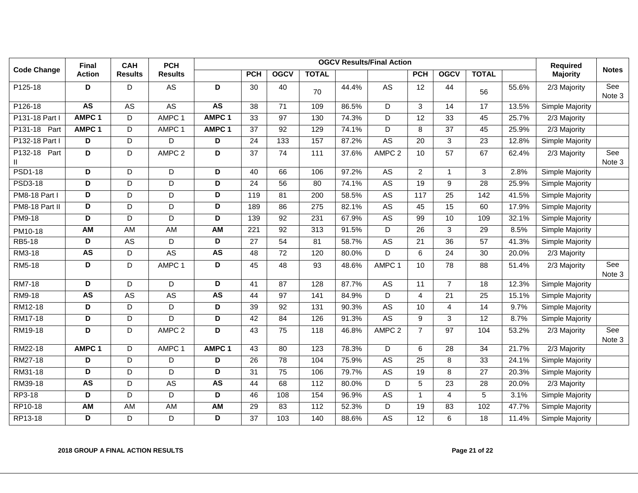|                    | <b>Final</b>            | <b>CAH</b>     | <b>PCH</b>        |                         |                  |                 |                |       | <b>OGCV Results/Final Action</b> |                 |                 |                 |       | Required                  |               |
|--------------------|-------------------------|----------------|-------------------|-------------------------|------------------|-----------------|----------------|-------|----------------------------------|-----------------|-----------------|-----------------|-------|---------------------------|---------------|
| <b>Code Change</b> | <b>Action</b>           | <b>Results</b> | <b>Results</b>    |                         | <b>PCH</b>       | <b>OGCV</b>     | <b>TOTAL</b>   |       |                                  | <b>PCH</b>      | <b>OGCV</b>     | <b>TOTAL</b>    |       | <b>Majority</b>           | <b>Notes</b>  |
| P125-18            | D                       | D              | AS                | D                       | 30               | 40              | 70             | 44.4% | AS                               | 12              | 44              | 56              | 55.6% | 2/3 Majority              | See<br>Note 3 |
| P126-18            | <b>AS</b>               | AS             | <b>AS</b>         | <b>AS</b>               | 38               | 71              | 109            | 86.5% | D                                | 3               | 14              | 17              | 13.5% | Simple Majority           |               |
| P131-18 Part I     | AMPC <sub>1</sub>       | D              | AMPC <sub>1</sub> | AMPC <sub>1</sub>       | 33               | 97              | 130            | 74.3% | D                                | $\overline{12}$ | $\overline{33}$ | 45              | 25.7% | 2/3 Majority              |               |
| P131-18<br>Part    | AMPC <sub>1</sub>       | D              | AMPC 1            | AMPC <sub>1</sub>       | $\overline{37}$  | $\overline{92}$ | 129            | 74.1% | $\overline{D}$                   | 8               | $\overline{37}$ | 45              | 25.9% | 2/3 Majority              |               |
| P132-18 Part I     | D                       | D              | D                 | D                       | 24               | 133             | 157            | 87.2% | A <sub>S</sub>                   | 20              | 3               | 23              | 12.8% | Simple Majority           |               |
| P132-18 Part       | D                       | D              | AMPC <sub>2</sub> | D                       | 37               | 74              | 111            | 37.6% | AMPC <sub>2</sub>                | 10              | 57              | 67              | 62.4% | 2/3 Majority              | See<br>Note 3 |
| <b>PSD1-18</b>     | D                       | D              | D                 | D                       | 40               | 66              | 106            | 97.2% | A <sub>S</sub>                   | 2               | $\mathbf{1}$    | 3               | 2.8%  | Simple Majority           |               |
| <b>PSD3-18</b>     | D                       | D              | $\overline{D}$    | $\overline{D}$          | 24               | 56              | 80             | 74.1% | <b>AS</b>                        | 19              | 9               | $\overline{28}$ | 25.9% | Simple Majority           |               |
| PM8-18 Part I      | D                       | D              | D                 | D                       | 119              | 81              | 200            | 58.5% | A <sub>S</sub>                   | 117             | 25              | 142             | 41.5% | Simple Majority           |               |
| PM8-18 Part II     | $\overline{\mathsf{D}}$ | D              | D                 | $\overline{\mathsf{D}}$ | 189              | 86              | 275            | 82.1% | <b>AS</b>                        | 45              | 15              | 60              | 17.9% | Simple Majority           |               |
| <b>PM9-18</b>      | D                       | D              | D                 | D                       | 139              | 92              | 231            | 67.9% | <b>AS</b>                        | 99              | $\overline{10}$ | 109             | 32.1% | Simple Majority           |               |
| PM10-18            | <b>AM</b>               | <b>AM</b>      | <b>AM</b>         | AM                      | $\overline{221}$ | $\overline{92}$ | 313            | 91.5% | D                                | $\overline{26}$ | 3               | $\overline{29}$ | 8.5%  | Simple Majority           |               |
| RB5-18             | D                       | AS             | D                 | D                       | 27               | 54              | 81             | 58.7% | <b>AS</b>                        | 21              | $\overline{36}$ | $\overline{57}$ | 41.3% | Simple Majority           |               |
| RM3-18             | <b>AS</b>               | D              | A <sub>S</sub>    | <b>AS</b>               | 48               | 72              | 120            | 80.0% | D                                | 6               | 24              | 30              | 20.0% | $2/3$ Majority            |               |
| RM5-18             | D                       | D              | AMPC 1            | D                       | 45               | 48              | 93             | 48.6% | AMPC 1                           | 10              | 78              | 88              | 51.4% | 2/3 Majority              | See<br>Note 3 |
| RM7-18             | D                       | D              | D                 | D                       | 41               | 87              | 128            | 87.7% | A <sub>S</sub>                   | 11              | $\overline{7}$  | 18              | 12.3% | Simple Majority           |               |
| RM9-18             | <b>AS</b>               | AS             | AS                | <b>AS</b>               | 44               | 97              | 141            | 84.9% | D                                | $\overline{4}$  | 21              | 25              | 15.1% | Simple Majority           |               |
| RM12-18            | D                       | D              | D                 | D                       | 39               | 92              | 131            | 90.3% | <b>AS</b>                        | 10              | $\overline{4}$  | 14              | 9.7%  | Simple Majority           |               |
| RM17-18            | $\overline{\mathsf{D}}$ | D              | $\overline{D}$    | $\overline{\mathsf{D}}$ | 42               | 84              | 126            | 91.3% | <b>AS</b>                        | 9               | $\overline{3}$  | $\overline{12}$ | 8.7%  | Simple Majority           |               |
| RM19-18            | D                       | D              | AMPC <sub>2</sub> | D                       | 43               | 75              | 118            | 46.8% | AMPC <sub>2</sub>                | $\overline{7}$  | 97              | 104             | 53.2% | 2/3 Majority              | See<br>Note 3 |
| RM22-18            | AMPC <sub>1</sub>       | D              | AMPC 1            | AMPC <sub>1</sub>       | 43               | 80              | 123            | 78.3% | D                                | 6               | 28              | 34              | 21.7% | 2/3 Majority              |               |
| RM27-18            | D                       | $\mathsf D$    | D                 | D                       | $\overline{26}$  | 78              | 104            | 75.9% | <b>AS</b>                        | $\overline{25}$ | 8               | 33              | 24.1% | Simple Majority           |               |
| RM31-18            | $\overline{\mathsf{D}}$ | $\mathsf D$    | D                 | D                       | 31               | 75              | 106            | 79.7% | <b>AS</b>                        | $\overline{19}$ | 8               | $\overline{27}$ | 20.3% | Simple Majority           |               |
| RM39-18            | <b>AS</b>               | D              | <b>AS</b>         | <b>AS</b>               | 44               | 68              | $\frac{11}{2}$ | 80.0% | $\overline{D}$                   | 5               | 23              | 28              | 20.0% | $\overline{2}/3$ Majority |               |
| RP3-18             | D                       | D              | D                 | D                       | 46               | 108             | 154            | 96.9% | A <sub>S</sub>                   | $\mathbf{1}$    | $\overline{4}$  | 5               | 3.1%  | Simple Majority           |               |
| RP10-18            | <b>AM</b>               | AM             | AM                | $\overline{AM}$         | 29               | 83              | 112            | 52.3% | D                                | $\overline{19}$ | 83              | 102             | 47.7% | Simple Majority           |               |
| RP13-18            | D                       | D              | D                 | D                       | $\overline{37}$  | 103             | 140            | 88.6% | <b>AS</b>                        | $\overline{12}$ | 6               | $\overline{18}$ | 11.4% | Simple Majority           |               |

#### **2018 GROUP A FINAL ACTION RESULTS Page 21 of 22**